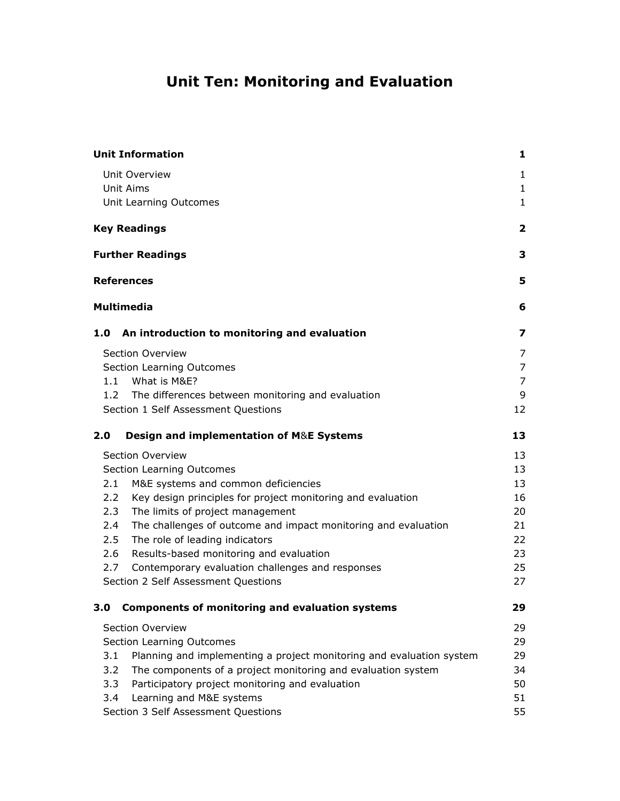# **Unit Ten: Monitoring and Evaluation**

| <b>Unit Information</b>                                                     | 1              |
|-----------------------------------------------------------------------------|----------------|
| Unit Overview                                                               | $\mathbf{1}$   |
| <b>Unit Aims</b>                                                            | $\mathbf{1}$   |
| Unit Learning Outcomes                                                      | 1              |
| <b>Key Readings</b>                                                         | 2              |
| <b>Further Readings</b>                                                     | З              |
| <b>References</b>                                                           | 5              |
| <b>Multimedia</b>                                                           | 6              |
| An introduction to monitoring and evaluation<br>1.0                         | 7              |
| Section Overview                                                            | 7              |
| Section Learning Outcomes                                                   | $\overline{7}$ |
| What is M&E?<br>1.1                                                         | 7              |
| 1.2<br>The differences between monitoring and evaluation                    | 9              |
| Section 1 Self Assessment Questions                                         | 12             |
| Design and implementation of M&E Systems<br>2.0                             | 13             |
| Section Overview                                                            | 13             |
| Section Learning Outcomes                                                   | 13             |
| M&E systems and common deficiencies<br>2.1                                  | 13             |
| 2.2<br>Key design principles for project monitoring and evaluation          | 16             |
| 2.3<br>The limits of project management                                     | 20             |
| The challenges of outcome and impact monitoring and evaluation<br>2.4       | 21             |
| 2.5<br>The role of leading indicators                                       | 22             |
| Results-based monitoring and evaluation<br>2.6                              | 23             |
| Contemporary evaluation challenges and responses<br>2.7                     | 25             |
| Section 2 Self Assessment Questions                                         | 27             |
| <b>Components of monitoring and evaluation systems</b><br>3.0               | 29             |
| Section Overview                                                            | 29             |
| Section Learning Outcomes                                                   | 29             |
| 3.1<br>Planning and implementing a project monitoring and evaluation system | 29             |
| The components of a project monitoring and evaluation system<br>3.2         | 34             |
| 3.3<br>Participatory project monitoring and evaluation                      | 50             |
| 3.4<br>Learning and M&E systems                                             | 51             |
| Section 3 Self Assessment Questions                                         | 55             |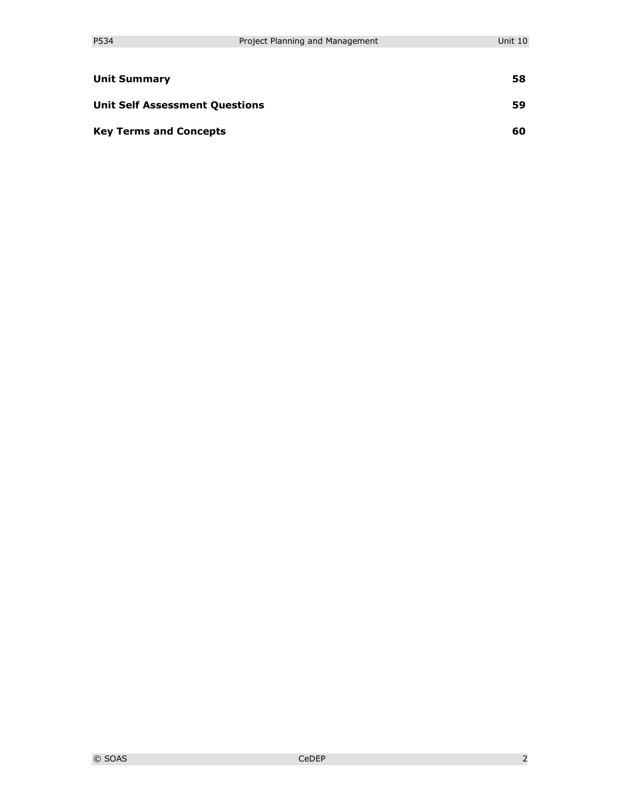| <b>Unit Summary</b>                   | 58 |
|---------------------------------------|----|
| <b>Unit Self Assessment Questions</b> | 59 |
| <b>Key Terms and Concepts</b>         | 60 |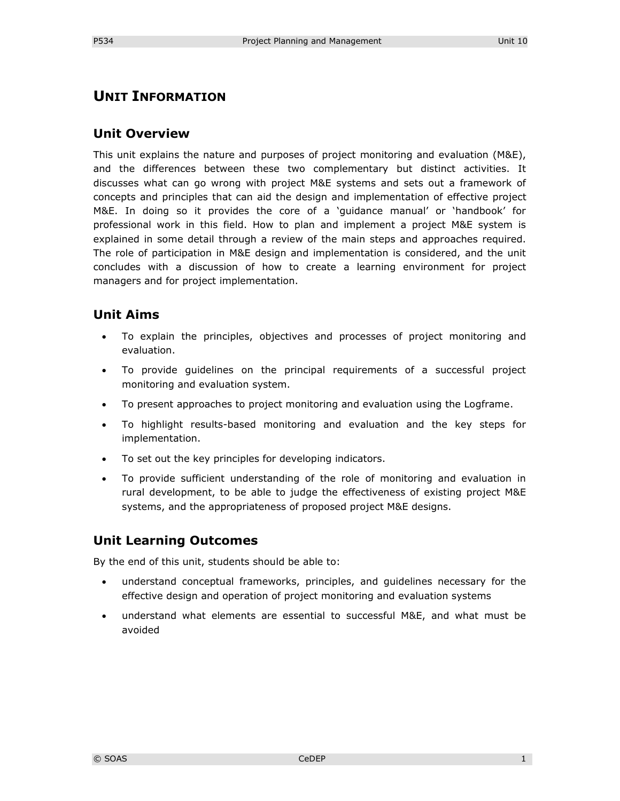# **UNIT INFORMATION**

### **Unit Overview**

This unit explains the nature and purposes of project monitoring and evaluation (M&E), and the differences between these two complementary but distinct activities. It discusses what can go wrong with project M&E systems and sets out a framework of concepts and principles that can aid the design and implementation of effective project M&E. In doing so it provides the core of a 'guidance manual' or 'handbook' for professional work in this field. How to plan and implement a project M&E system is explained in some detail through a review of the main steps and approaches required. The role of participation in M&E design and implementation is considered, and the unit concludes with a discussion of how to create a learning environment for project managers and for project implementation.

### **Unit Aims**

- To explain the principles, objectives and processes of project monitoring and evaluation.
- To provide guidelines on the principal requirements of a successful project monitoring and evaluation system.
- To present approaches to project monitoring and evaluation using the Logframe.
- To highlight results-based monitoring and evaluation and the key steps for implementation.
- To set out the key principles for developing indicators.
- To provide sufficient understanding of the role of monitoring and evaluation in rural development, to be able to judge the effectiveness of existing project M&E systems, and the appropriateness of proposed project M&E designs.

# **Unit Learning Outcomes**

By the end of this unit, students should be able to:

- understand conceptual frameworks, principles, and guidelines necessary for the effective design and operation of project monitoring and evaluation systems
- understand what elements are essential to successful M&E, and what must be avoided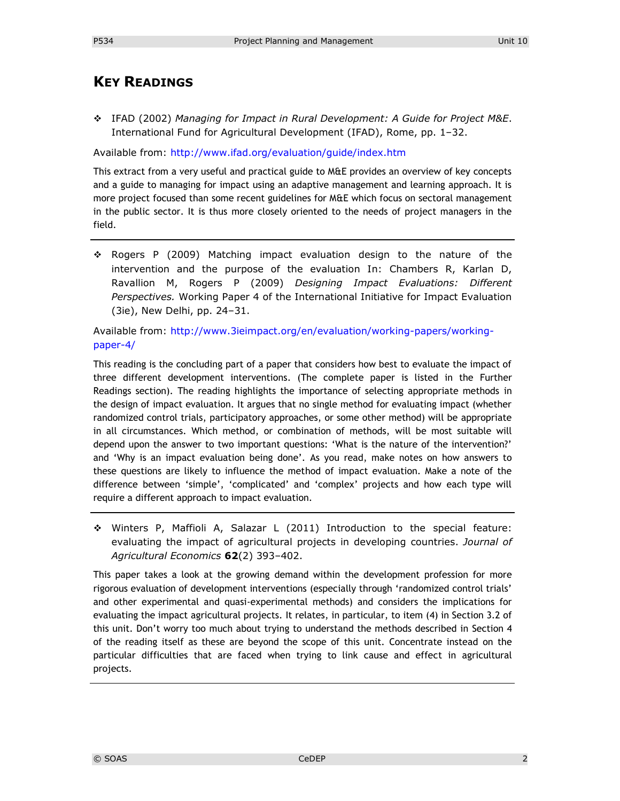# **KEY READINGS**

 IFAD (2002) *Managing for Impact in Rural Development: A Guide for Project M&E*. International Fund for Agricultural Development (IFAD), Rome, pp. 1–32.

Available from: <http://www.ifad.org/evaluation/guide/index.htm>

This extract from a very useful and practical guide to M&E provides an overview of key concepts and a guide to managing for impact using an adaptive management and learning approach. It is more project focused than some recent guidelines for M&E which focus on sectoral management in the public sector. It is thus more closely oriented to the needs of project managers in the field.

 Rogers P (2009) Matching impact evaluation design to the nature of the intervention and the purpose of the evaluation In: Chambers R, Karlan D, Ravallion M, Rogers P (2009) *Designing Impact Evaluations: Different Perspectives.* Working Paper 4 of the International Initiative for Impact Evaluation (3ie), New Delhi, pp. 24–31.

Available from: [http://www.3ieimpact.org/en/evaluation/working-papers/working](http://www.3ieimpact.org/en/evaluation/working-papers/working-paper-4/)[paper-4/](http://www.3ieimpact.org/en/evaluation/working-papers/working-paper-4/)

This reading is the concluding part of a paper that considers how best to evaluate the impact of three different development interventions. (The complete paper is listed in the Further Readings section). The reading highlights the importance of selecting appropriate methods in the design of impact evaluation. It argues that no single method for evaluating impact (whether randomized control trials, participatory approaches, or some other method) will be appropriate in all circumstances. Which method, or combination of methods, will be most suitable will depend upon the answer to two important questions: 'What is the nature of the intervention?' and 'Why is an impact evaluation being done'. As you read, make notes on how answers to these questions are likely to influence the method of impact evaluation. Make a note of the difference between 'simple', 'complicated' and 'complex' projects and how each type will require a different approach to impact evaluation.

 Winters P, Maffioli A, Salazar L (2011) Introduction to the special feature: evaluating the impact of agricultural projects in developing countries. *Journal of Agricultural Economics* **62**(2) 393–402.

This paper takes a look at the growing demand within the development profession for more rigorous evaluation of development interventions (especially through 'randomized control trials' and other experimental and quasi-experimental methods) and considers the implications for evaluating the impact agricultural projects. It relates, in particular, to item (4) in Section 3.2 of this unit. Don't worry too much about trying to understand the methods described in Section 4 of the reading itself as these are beyond the scope of this unit. Concentrate instead on the particular difficulties that are faced when trying to link cause and effect in agricultural projects.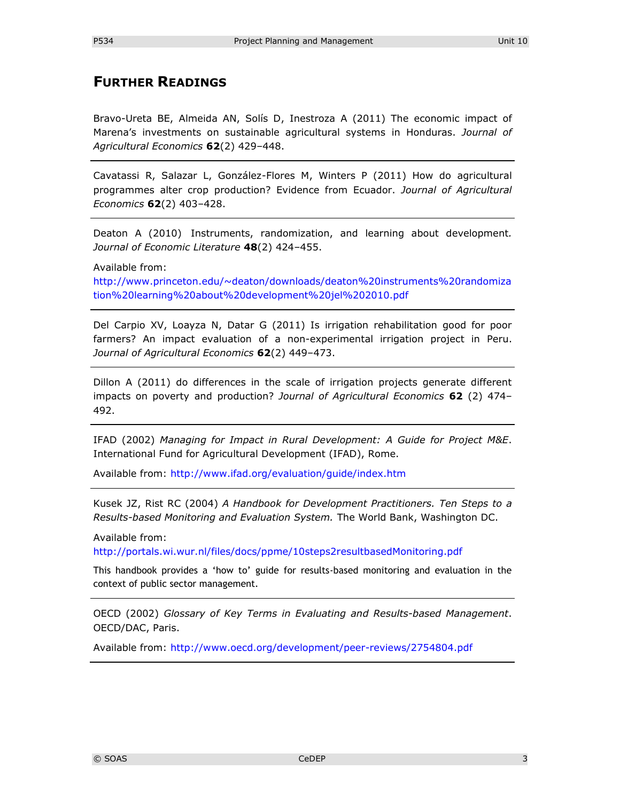# **FURTHER READINGS**

Bravo-Ureta BE, Almeida AN, Solís D, Inestroza A (2011) The economic impact of Marena's investments on sustainable agricultural systems in Honduras. *Journal of Agricultural Economics* **62**(2) 429–448.

Cavatassi R, Salazar L, González-Flores M, Winters P (2011) How do agricultural programmes alter crop production? Evidence from Ecuador. *Journal of Agricultural Economics* **62**(2) 403–428.

Deaton A (2010) Instruments, randomization, and learning about development*. Journal of Economic Literature* **48**(2) 424–455.

Available from:

[http://www.princeton.edu/~deaton/downloads/deaton%20instruments%20randomiza](http://www.princeton.edu/~deaton/downloads/deaton%20instruments%20randomization%20learning%20about%20development%20jel%202010.pdf) [tion%20learning%20about%20development%20jel%202010.pdf](http://www.princeton.edu/~deaton/downloads/deaton%20instruments%20randomization%20learning%20about%20development%20jel%202010.pdf)

Del Carpio XV, Loayza N, Datar G (2011) Is irrigation rehabilitation good for poor farmers? An impact evaluation of a non-experimental irrigation project in Peru. *Journal of Agricultural Economics* **62**(2) 449–473.

Dillon A (2011) do differences in the scale of irrigation projects generate different impacts on poverty and production? *Journal of Agricultural Economics* **62** (2) 474– 492.

IFAD (2002) *Managing for Impact in Rural Development: A Guide for Project M&E*. International Fund for Agricultural Development (IFAD), Rome.

Available from:<http://www.ifad.org/evaluation/guide/index.htm>

Kusek JZ, Rist RC (2004) *A Handbook for Development Practitioners. Ten Steps to a Results-based Monitoring and Evaluation System.* The World Bank, Washington DC.

Available from:

<http://portals.wi.wur.nl/files/docs/ppme/10steps2resultbasedMonitoring.pdf>

This handbook provides a 'how to' guide for results-based monitoring and evaluation in the context of public sector management.

OECD (2002) *Glossary of Key Terms in Evaluating and Results-based Management*. OECD/DAC, Paris.

Available from:<http://www.oecd.org/development/peer-reviews/2754804.pdf>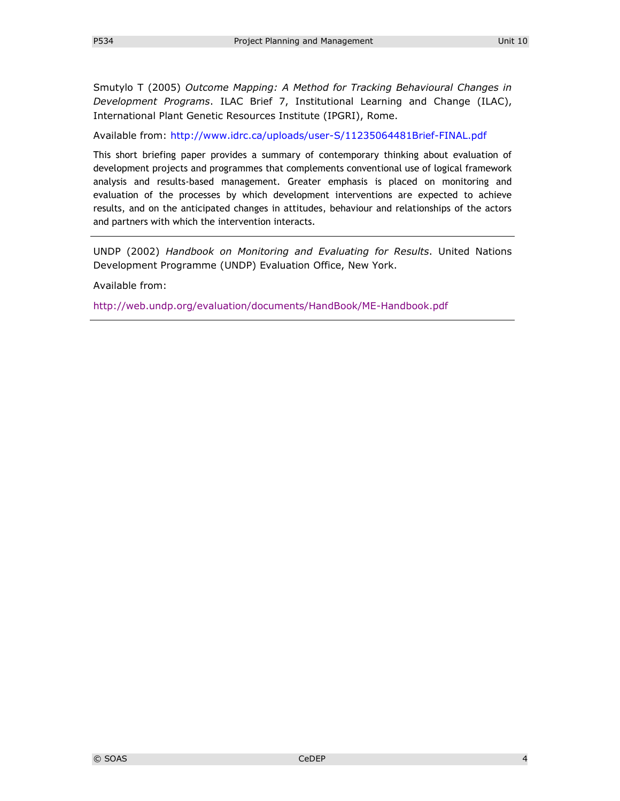Smutylo T (2005) *Outcome Mapping: A Method for Tracking Behavioural Changes in Development Programs*. ILAC Brief 7, Institutional Learning and Change (ILAC), International Plant Genetic Resources Institute (IPGRI), Rome.

Available from:<http://www.idrc.ca/uploads/user-S/11235064481Brief-FINAL.pdf>

This short briefing paper provides a summary of contemporary thinking about evaluation of development projects and programmes that complements conventional use of logical framework analysis and results-based management. Greater emphasis is placed on monitoring and evaluation of the processes by which development interventions are expected to achieve results, and on the anticipated changes in attitudes, behaviour and relationships of the actors and partners with which the intervention interacts.

UNDP (2002) *Handbook on Monitoring and Evaluating for Results*. United Nations Development Programme (UNDP) Evaluation Office, New York.

Available from:

<http://web.undp.org/evaluation/documents/HandBook/ME-Handbook.pdf>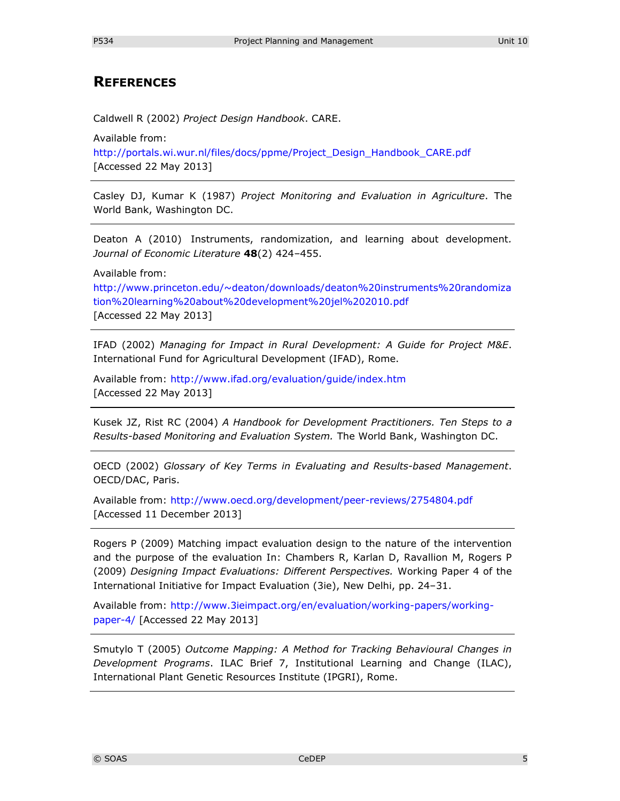# **REFERENCES**

Caldwell R (2002) *Project Design Handbook*. CARE.

Available from:

[http://portals.wi.wur.nl/files/docs/ppme/Project\\_Design\\_Handbook\\_CARE.pdf](http://portals.wi.wur.nl/files/docs/ppme/Project_Design_Handbook_CARE.pdf) [Accessed 22 May 2013]

Casley DJ, Kumar K (1987) *Project Monitoring and Evaluation in Agriculture*. The World Bank, Washington DC.

Deaton A (2010) Instruments, randomization, and learning about development*. Journal of Economic Literature* **48**(2) 424–455.

Available from:

[http://www.princeton.edu/~deaton/downloads/deaton%20instruments%20randomiza](http://www.princeton.edu/~deaton/downloads/deaton%20instruments%20randomization%20learning%20about%20development%20jel%202010.pdf) [tion%20learning%20about%20development%20jel%202010.pdf](http://www.princeton.edu/~deaton/downloads/deaton%20instruments%20randomization%20learning%20about%20development%20jel%202010.pdf) [Accessed 22 May 2013]

IFAD (2002) *Managing for Impact in Rural Development: A Guide for Project M&E*. International Fund for Agricultural Development (IFAD), Rome.

Available from:<http://www.ifad.org/evaluation/guide/index.htm> [Accessed 22 May 2013]

Kusek JZ, Rist RC (2004) *A Handbook for Development Practitioners. Ten Steps to a Results-based Monitoring and Evaluation System.* The World Bank, Washington DC.

OECD (2002) *Glossary of Key Terms in Evaluating and Results-based Management*. OECD/DAC, Paris.

Available from:<http://www.oecd.org/development/peer-reviews/2754804.pdf> [Accessed 11 December 2013]

Rogers P (2009) Matching impact evaluation design to the nature of the intervention and the purpose of the evaluation In: Chambers R, Karlan D, Ravallion M, Rogers P (2009) *Designing Impact Evaluations: Different Perspectives.* Working Paper 4 of the International Initiative for Impact Evaluation (3ie), New Delhi, pp. 24–31.

Available from: [http://www.3ieimpact.org/en/evaluation/working-papers/working](http://www.3ieimpact.org/en/evaluation/working-papers/working-paper-4/)[paper-4/](http://www.3ieimpact.org/en/evaluation/working-papers/working-paper-4/) [Accessed 22 May 2013]

Smutylo T (2005) *Outcome Mapping: A Method for Tracking Behavioural Changes in Development Programs*. ILAC Brief 7, Institutional Learning and Change (ILAC), International Plant Genetic Resources Institute (IPGRI), Rome.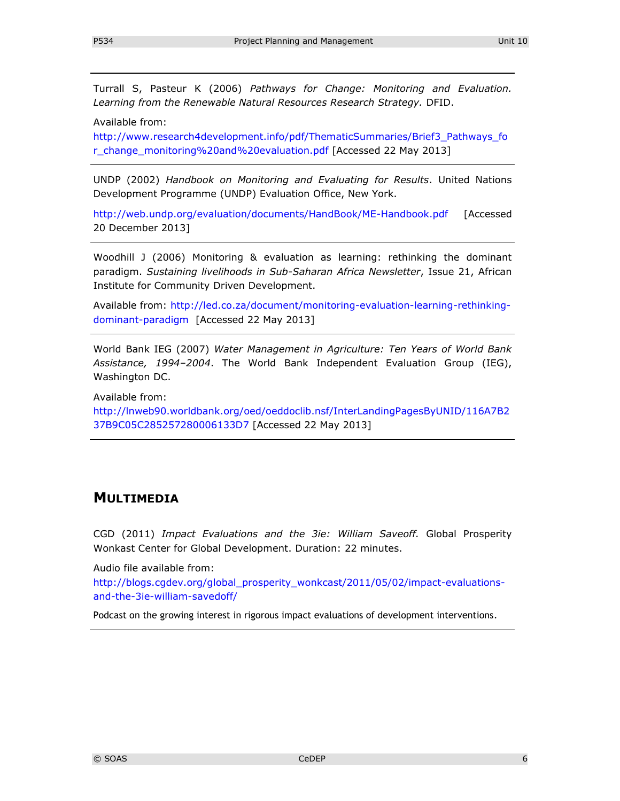Turrall S, Pasteur K (2006) *Pathways for Change: Monitoring and Evaluation. Learning from the Renewable Natural Resources Research Strategy.* DFID.

Available from:

[http://www.research4development.info/pdf/ThematicSummaries/Brief3\\_Pathways\\_fo](http://www.research4development.info/pdf/ThematicSummaries/Brief3_Pathways_for_change_monitoring%20and%20evaluation.pdf) [r\\_change\\_monitoring%20and%20evaluation.pdf](http://www.research4development.info/pdf/ThematicSummaries/Brief3_Pathways_for_change_monitoring%20and%20evaluation.pdf) [Accessed 22 May 2013]

UNDP (2002) *Handbook on Monitoring and Evaluating for Results*. United Nations Development Programme (UNDP) Evaluation Office, New York.

<http://web.undp.org/evaluation/documents/HandBook/ME-Handbook.pdf> [Accessed 20 December 2013]

Woodhill J (2006) Monitoring & evaluation as learning: rethinking the dominant paradigm. *Sustaining livelihoods in Sub-Saharan Africa Newsletter*, Issue 21, African Institute for Community Driven Development.

Available from: [http://led.co.za/document/monitoring-evaluation-learning-rethinking](http://led.co.za/document/monitoring-evaluation-learning-rethinking-dominant-paradigm)[dominant-paradigm](http://led.co.za/document/monitoring-evaluation-learning-rethinking-dominant-paradigm) [Accessed 22 May 2013]

World Bank IEG (2007) *Water Management in Agriculture: Ten Years of World Bank Assistance, 1994–2004*. The World Bank Independent Evaluation Group (IEG), Washington DC.

Available from:

[http://lnweb90.worldbank.org/oed/oeddoclib.nsf/InterLandingPagesByUNID/116A7B2](http://lnweb90.worldbank.org/oed/oeddoclib.nsf/InterLandingPagesByUNID/116A7B237B9C05C285257280006133D7) [37B9C05C285257280006133D7](http://lnweb90.worldbank.org/oed/oeddoclib.nsf/InterLandingPagesByUNID/116A7B237B9C05C285257280006133D7) [Accessed 22 May 2013]

# **MULTIMEDIA**

CGD (2011) *Impact Evaluations and the 3ie: William Saveoff.* Global Prosperity Wonkast Center for Global Development. Duration: 22 minutes.

Audio file available from:

[http://blogs.cgdev.org/global\\_prosperity\\_wonkcast/2011/05/02/impact-evaluations](http://blogs.cgdev.org/global_prosperity_wonkcast/2011/05/02/impact-evaluations-and-the-3ie-william-savedoff/)[and-the-3ie-william-savedoff/](http://blogs.cgdev.org/global_prosperity_wonkcast/2011/05/02/impact-evaluations-and-the-3ie-william-savedoff/)

Podcast on the growing interest in rigorous impact evaluations of development interventions.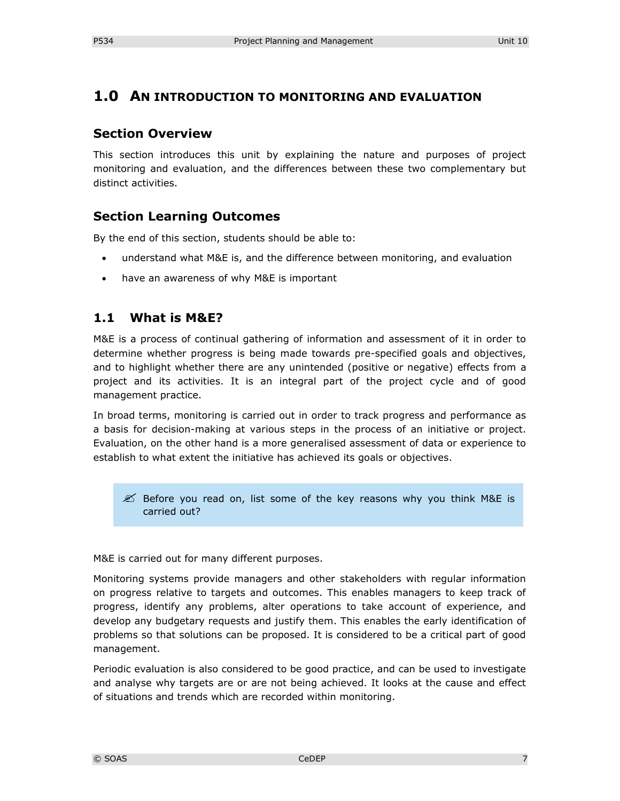# **1.0 AN INTRODUCTION TO MONITORING AND EVALUATION**

### **Section Overview**

This section introduces this unit by explaining the nature and purposes of project monitoring and evaluation, and the differences between these two complementary but distinct activities.

# **Section Learning Outcomes**

By the end of this section, students should be able to:

- understand what M&E is, and the difference between monitoring, and evaluation
- have an awareness of why M&E is important

### **1.1 What is M&E?**

M&E is a process of continual gathering of information and assessment of it in order to determine whether progress is being made towards pre-specified goals and objectives, and to highlight whether there are any unintended (positive or negative) effects from a project and its activities. It is an integral part of the project cycle and of good management practice.

In broad terms, monitoring is carried out in order to track progress and performance as a basis for decision-making at various steps in the process of an initiative or project. Evaluation, on the other hand is a more generalised assessment of data or experience to establish to what extent the initiative has achieved its goals or objectives.

 $\mathscr{L}$  Before you read on, list some of the key reasons why you think M&E is carried out?

M&E is carried out for many different purposes.

Monitoring systems provide managers and other stakeholders with regular information on progress relative to targets and outcomes. This enables managers to keep track of progress, identify any problems, alter operations to take account of experience, and develop any budgetary requests and justify them. This enables the early identification of problems so that solutions can be proposed. It is considered to be a critical part of good management.

Periodic evaluation is also considered to be good practice, and can be used to investigate and analyse why targets are or are not being achieved. It looks at the cause and effect of situations and trends which are recorded within monitoring.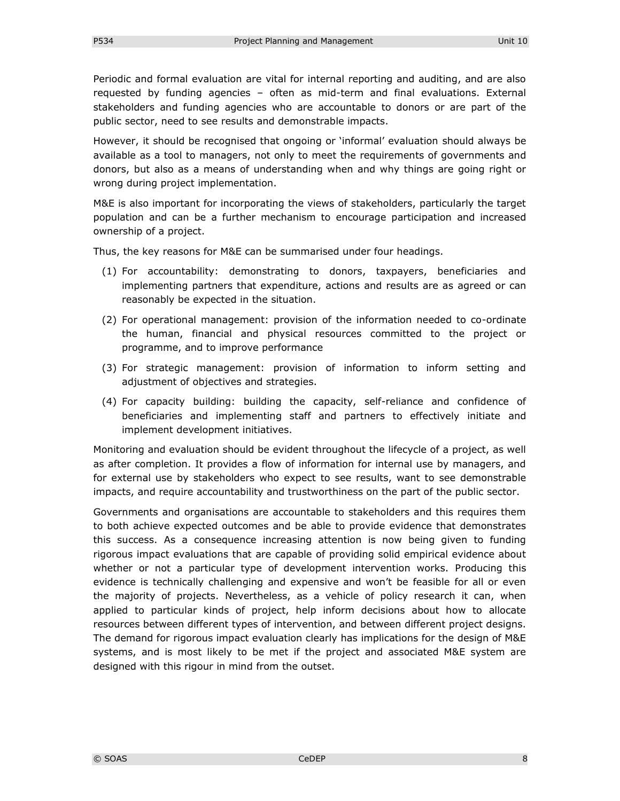Periodic and formal evaluation are vital for internal reporting and auditing, and are also requested by funding agencies – often as mid-term and final evaluations. External stakeholders and funding agencies who are accountable to donors or are part of the public sector, need to see results and demonstrable impacts.

However, it should be recognised that ongoing or 'informal' evaluation should always be available as a tool to managers, not only to meet the requirements of governments and donors, but also as a means of understanding when and why things are going right or wrong during project implementation.

M&E is also important for incorporating the views of stakeholders, particularly the target population and can be a further mechanism to encourage participation and increased ownership of a project.

Thus, the key reasons for M&E can be summarised under four headings.

- (1) For accountability: demonstrating to donors, taxpayers, beneficiaries and implementing partners that expenditure, actions and results are as agreed or can reasonably be expected in the situation.
- (2) For operational management: provision of the information needed to co-ordinate the human, financial and physical resources committed to the project or programme, and to improve performance
- (3) For strategic management: provision of information to inform setting and adjustment of objectives and strategies.
- (4) For capacity building: building the capacity, self-reliance and confidence of beneficiaries and implementing staff and partners to effectively initiate and implement development initiatives.

Monitoring and evaluation should be evident throughout the lifecycle of a project, as well as after completion. It provides a flow of information for internal use by managers, and for external use by stakeholders who expect to see results, want to see demonstrable impacts, and require accountability and trustworthiness on the part of the public sector.

Governments and organisations are accountable to stakeholders and this requires them to both achieve expected outcomes and be able to provide evidence that demonstrates this success. As a consequence increasing attention is now being given to funding rigorous impact evaluations that are capable of providing solid empirical evidence about whether or not a particular type of development intervention works. Producing this evidence is technically challenging and expensive and won't be feasible for all or even the majority of projects. Nevertheless, as a vehicle of policy research it can, when applied to particular kinds of project, help inform decisions about how to allocate resources between different types of intervention, and between different project designs. The demand for rigorous impact evaluation clearly has implications for the design of M&E systems, and is most likely to be met if the project and associated M&E system are designed with this rigour in mind from the outset.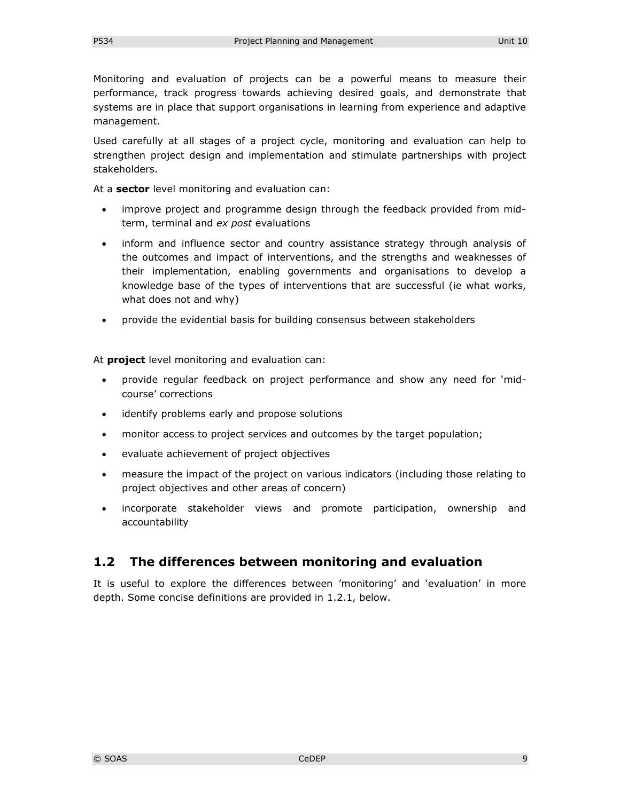Monitoring and evaluation of projects can be a powerful means to measure their performance, track progress towards achieving desired goals, and demonstrate that systems are in place that support organisations in learning from experience and adaptive management.

Used carefully at all stages of a project cycle, monitoring and evaluation can help to strengthen project design and implementation and stimulate partnerships with project stakeholders.

At a **sector** level monitoring and evaluation can:

- improve project and programme design through the feedback provided from midterm, terminal and *ex post* evaluations
- inform and influence sector and country assistance strategy through analysis of the outcomes and impact of interventions, and the strengths and weaknesses of their implementation, enabling governments and organisations to develop a knowledge base of the types of interventions that are successful (ie what works, what does not and why)
- provide the evidential basis for building consensus between stakeholders

At **project** level monitoring and evaluation can:

- provide regular feedback on project performance and show any need for 'midcourse' corrections
- identify problems early and propose solutions
- monitor access to project services and outcomes by the target population;
- evaluate achievement of project objectives
- measure the impact of the project on various indicators (including those relating to project objectives and other areas of concern)
- incorporate stakeholder views and promote participation, ownership and accountability

# **1.2 The differences between monitoring and evaluation**

It is useful to explore the differences between 'monitoring' and 'evaluation' in more depth. Some concise definitions are provided in 1.2.1, below.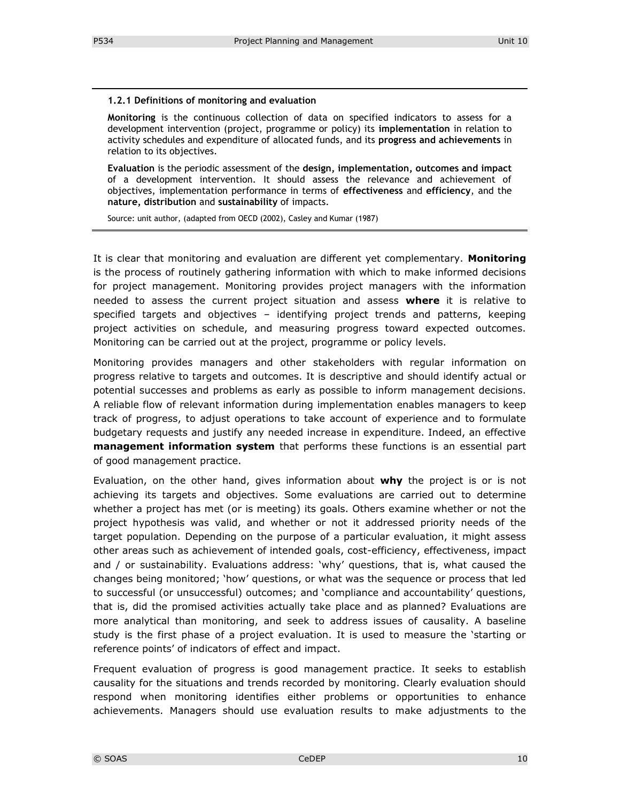#### **1.2.1 Definitions of monitoring and evaluation**

**Monitoring** is the continuous collection of data on specified indicators to assess for a development intervention (project, programme or policy) its **implementation** in relation to activity schedules and expenditure of allocated funds, and its **progress and achievements** in relation to its objectives.

**Evaluation** is the periodic assessment of the **design, implementation, outcomes and impact** of a development intervention. It should assess the relevance and achievement of objectives, implementation performance in terms of **effectiveness** and **efficiency**, and the **nature, distribution** and **sustainability** of impacts.

Source: unit author, (adapted from OECD (2002), Casley and Kumar (1987)

It is clear that monitoring and evaluation are different yet complementary. **Monitoring**  is the process of routinely gathering information with which to make informed decisions for project management. Monitoring provides project managers with the information needed to assess the current project situation and assess **where** it is relative to specified targets and objectives – identifying project trends and patterns, keeping project activities on schedule, and measuring progress toward expected outcomes. Monitoring can be carried out at the project, programme or policy levels.

Monitoring provides managers and other stakeholders with regular information on progress relative to targets and outcomes. It is descriptive and should identify actual or potential successes and problems as early as possible to inform management decisions. A reliable flow of relevant information during implementation enables managers to keep track of progress, to adjust operations to take account of experience and to formulate budgetary requests and justify any needed increase in expenditure. Indeed, an effective **management information system** that performs these functions is an essential part of good management practice.

Evaluation, on the other hand, gives information about **why** the project is or is not achieving its targets and objectives. Some evaluations are carried out to determine whether a project has met (or is meeting) its goals. Others examine whether or not the project hypothesis was valid, and whether or not it addressed priority needs of the target population. Depending on the purpose of a particular evaluation, it might assess other areas such as achievement of intended goals, cost-efficiency, effectiveness, impact and / or sustainability. Evaluations address: 'why' questions, that is, what caused the changes being monitored; 'how' questions, or what was the sequence or process that led to successful (or unsuccessful) outcomes; and 'compliance and accountability' questions, that is, did the promised activities actually take place and as planned? Evaluations are more analytical than monitoring, and seek to address issues of causality. A baseline study is the first phase of a project evaluation. It is used to measure the 'starting or reference points' of indicators of effect and impact.

Frequent evaluation of progress is good management practice. It seeks to establish causality for the situations and trends recorded by monitoring. Clearly evaluation should respond when monitoring identifies either problems or opportunities to enhance achievements. Managers should use evaluation results to make adjustments to the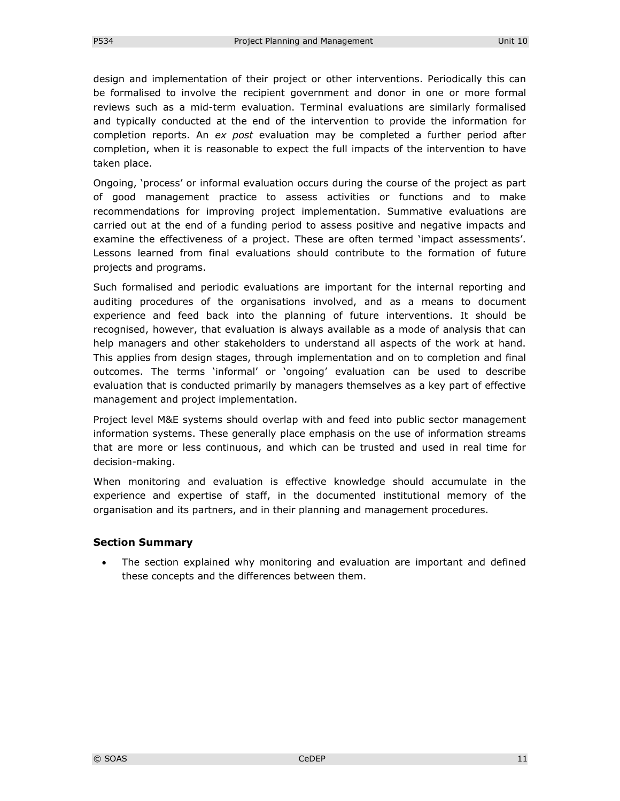design and implementation of their project or other interventions. Periodically this can be formalised to involve the recipient government and donor in one or more formal reviews such as a mid-term evaluation. Terminal evaluations are similarly formalised and typically conducted at the end of the intervention to provide the information for completion reports. An *ex post* evaluation may be completed a further period after completion, when it is reasonable to expect the full impacts of the intervention to have taken place.

Ongoing, 'process' or informal evaluation occurs during the course of the project as part of good management practice to assess activities or functions and to make recommendations for improving project implementation. Summative evaluations are carried out at the end of a funding period to assess positive and negative impacts and examine the effectiveness of a project. These are often termed 'impact assessments'. Lessons learned from final evaluations should contribute to the formation of future projects and programs.

Such formalised and periodic evaluations are important for the internal reporting and auditing procedures of the organisations involved, and as a means to document experience and feed back into the planning of future interventions. It should be recognised, however, that evaluation is always available as a mode of analysis that can help managers and other stakeholders to understand all aspects of the work at hand. This applies from design stages, through implementation and on to completion and final outcomes. The terms 'informal' or 'ongoing' evaluation can be used to describe evaluation that is conducted primarily by managers themselves as a key part of effective management and project implementation.

Project level M&E systems should overlap with and feed into public sector management information systems. These generally place emphasis on the use of information streams that are more or less continuous, and which can be trusted and used in real time for decision-making.

When monitoring and evaluation is effective knowledge should accumulate in the experience and expertise of staff, in the documented institutional memory of the organisation and its partners, and in their planning and management procedures.

#### **Section Summary**

 The section explained why monitoring and evaluation are important and defined these concepts and the differences between them.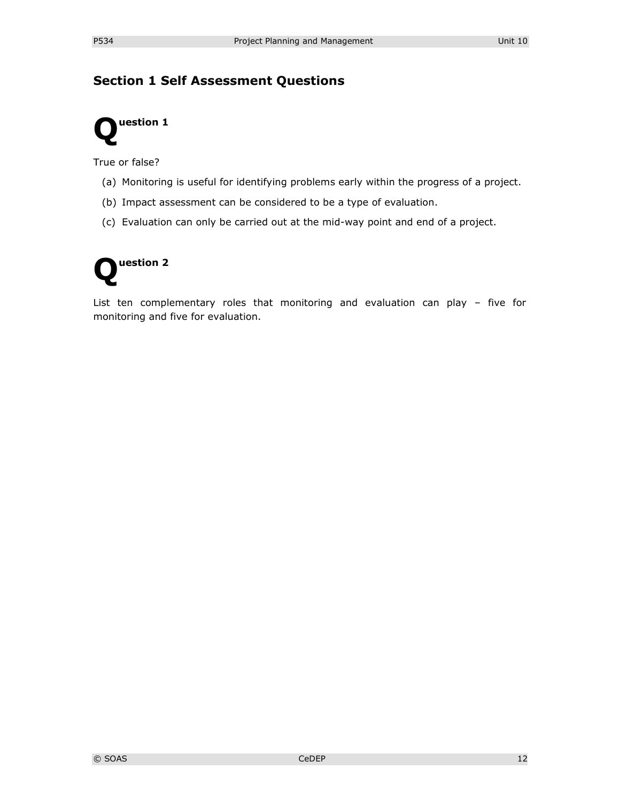# **Section 1 Self Assessment Questions**



True or false?

- (a) Monitoring is useful for identifying problems early within the progress of a project.
- (b) Impact assessment can be considered to be a type of evaluation.
- (c) Evaluation can only be carried out at the mid-way point and end of a project.



List ten complementary roles that monitoring and evaluation can play – five for monitoring and five for evaluation.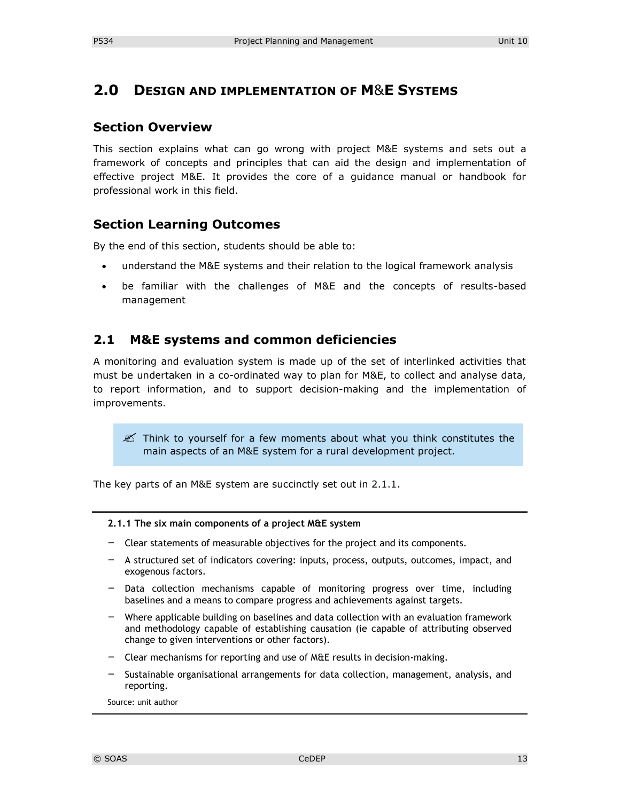# **2.0 DESIGN AND IMPLEMENTATION OF M**&**E SYSTEMS**

### **Section Overview**

This section explains what can go wrong with project M&E systems and sets out a framework of concepts and principles that can aid the design and implementation of effective project M&E. It provides the core of a guidance manual or handbook for professional work in this field.

### **Section Learning Outcomes**

By the end of this section, students should be able to:

- understand the M&E systems and their relation to the logical framework analysis
- be familiar with the challenges of M&E and the concepts of results-based management

# **2.1 M&E systems and common deficiencies**

A monitoring and evaluation system is made up of the set of interlinked activities that must be undertaken in a co-ordinated way to plan for M&E, to collect and analyse data, to report information, and to support decision-making and the implementation of improvements.

 $\mathscr{L}$  Think to yourself for a few moments about what you think constitutes the main aspects of an M&E system for a rural development project.

The key parts of an M&E system are succinctly set out in 2.1.1.

#### **2.1.1 The six main components of a project M&E system**

- Clear statements of measurable objectives for the project and its components.
- A structured set of indicators covering: inputs, process, outputs, outcomes, impact, and exogenous factors.
- Data collection mechanisms capable of monitoring progress over time, including baselines and a means to compare progress and achievements against targets.
- Where applicable building on baselines and data collection with an evaluation framework and methodology capable of establishing causation (ie capable of attributing observed change to given interventions or other factors).
- Clear mechanisms for reporting and use of M&E results in decision-making.
- Sustainable organisational arrangements for data collection, management, analysis, and reporting.

Source: unit author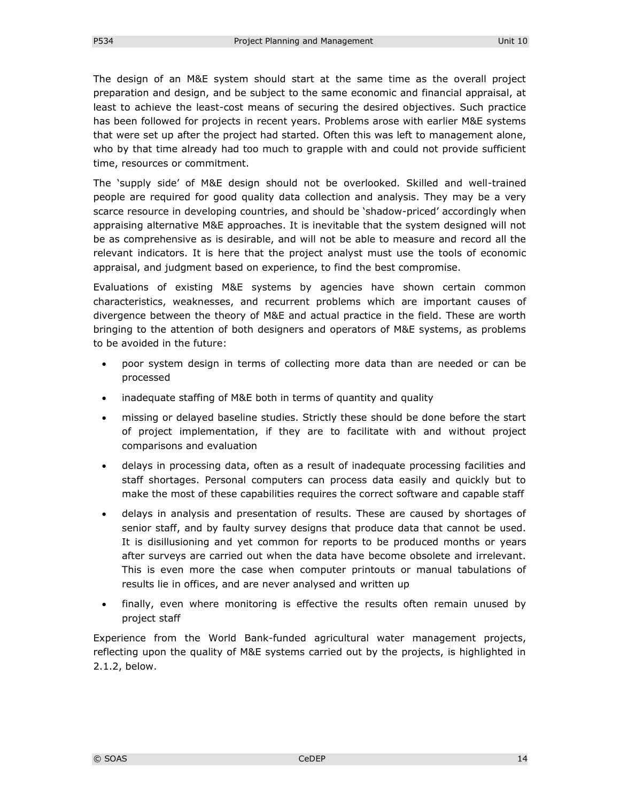The design of an M&E system should start at the same time as the overall project preparation and design, and be subject to the same economic and financial appraisal, at least to achieve the least-cost means of securing the desired objectives. Such practice has been followed for projects in recent years. Problems arose with earlier M&E systems that were set up after the project had started. Often this was left to management alone, who by that time already had too much to grapple with and could not provide sufficient time, resources or commitment.

The 'supply side' of M&E design should not be overlooked. Skilled and well-trained people are required for good quality data collection and analysis. They may be a very scarce resource in developing countries, and should be 'shadow-priced' accordingly when appraising alternative M&E approaches. It is inevitable that the system designed will not be as comprehensive as is desirable, and will not be able to measure and record all the relevant indicators. It is here that the project analyst must use the tools of economic appraisal, and judgment based on experience, to find the best compromise.

Evaluations of existing M&E systems by agencies have shown certain common characteristics, weaknesses, and recurrent problems which are important causes of divergence between the theory of M&E and actual practice in the field. These are worth bringing to the attention of both designers and operators of M&E systems, as problems to be avoided in the future:

- poor system design in terms of collecting more data than are needed or can be processed
- inadequate staffing of M&E both in terms of quantity and quality
- missing or delayed baseline studies. Strictly these should be done before the start of project implementation, if they are to facilitate with and without project comparisons and evaluation
- delays in processing data, often as a result of inadequate processing facilities and staff shortages. Personal computers can process data easily and quickly but to make the most of these capabilities requires the correct software and capable staff
- delays in analysis and presentation of results. These are caused by shortages of senior staff, and by faulty survey designs that produce data that cannot be used. It is disillusioning and yet common for reports to be produced months or years after surveys are carried out when the data have become obsolete and irrelevant. This is even more the case when computer printouts or manual tabulations of results lie in offices, and are never analysed and written up
- finally, even where monitoring is effective the results often remain unused by project staff

Experience from the World Bank-funded agricultural water management projects, reflecting upon the quality of M&E systems carried out by the projects, is highlighted in 2.1.2, below.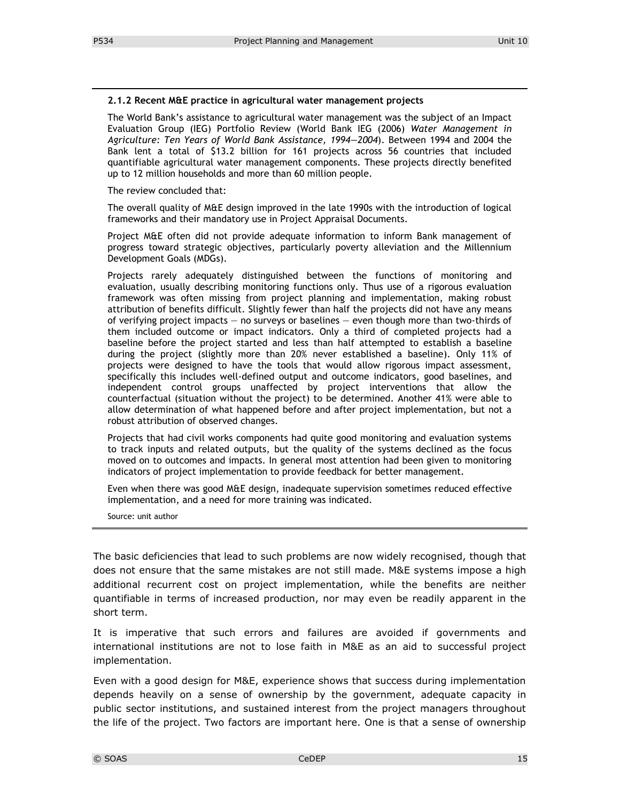#### **2.1.2 Recent M&E practice in agricultural water management projects**

The World Bank's assistance to agricultural water management was the subject of an Impact Evaluation Group (IEG) Portfolio Review (World Bank IEG (2006) *Water Management in Agriculture: Ten Years of World Bank Assistance, 1994—2004*). Between 1994 and 2004 the Bank lent a total of \$13.2 billion for 161 projects across 56 countries that included quantifiable agricultural water management components. These projects directly benefited up to 12 million households and more than 60 million people.

The review concluded that:

The overall quality of M&E design improved in the late 1990s with the introduction of logical frameworks and their mandatory use in Project Appraisal Documents.

Project M&E often did not provide adequate information to inform Bank management of progress toward strategic objectives, particularly poverty alleviation and the Millennium Development Goals (MDGs).

Projects rarely adequately distinguished between the functions of monitoring and evaluation, usually describing monitoring functions only. Thus use of a rigorous evaluation framework was often missing from project planning and implementation, making robust attribution of benefits difficult. Slightly fewer than half the projects did not have any means of verifying project impacts — no surveys or baselines — even though more than two-thirds of them included outcome or impact indicators. Only a third of completed projects had a baseline before the project started and less than half attempted to establish a baseline during the project (slightly more than 20% never established a baseline). Only 11% of projects were designed to have the tools that would allow rigorous impact assessment, specifically this includes well-defined output and outcome indicators, good baselines, and independent control groups unaffected by project interventions that allow the counterfactual (situation without the project) to be determined. Another 41% were able to allow determination of what happened before and after project implementation, but not a robust attribution of observed changes.

Projects that had civil works components had quite good monitoring and evaluation systems to track inputs and related outputs, but the quality of the systems declined as the focus moved on to outcomes and impacts. In general most attention had been given to monitoring indicators of project implementation to provide feedback for better management.

Even when there was good M&E design, inadequate supervision sometimes reduced effective implementation, and a need for more training was indicated.

Source: unit author

The basic deficiencies that lead to such problems are now widely recognised, though that does not ensure that the same mistakes are not still made. M&E systems impose a high additional recurrent cost on project implementation, while the benefits are neither quantifiable in terms of increased production, nor may even be readily apparent in the short term.

It is imperative that such errors and failures are avoided if governments and international institutions are not to lose faith in M&E as an aid to successful project implementation.

Even with a good design for M&E, experience shows that success during implementation depends heavily on a sense of ownership by the government, adequate capacity in public sector institutions, and sustained interest from the project managers throughout the life of the project. Two factors are important here. One is that a sense of ownership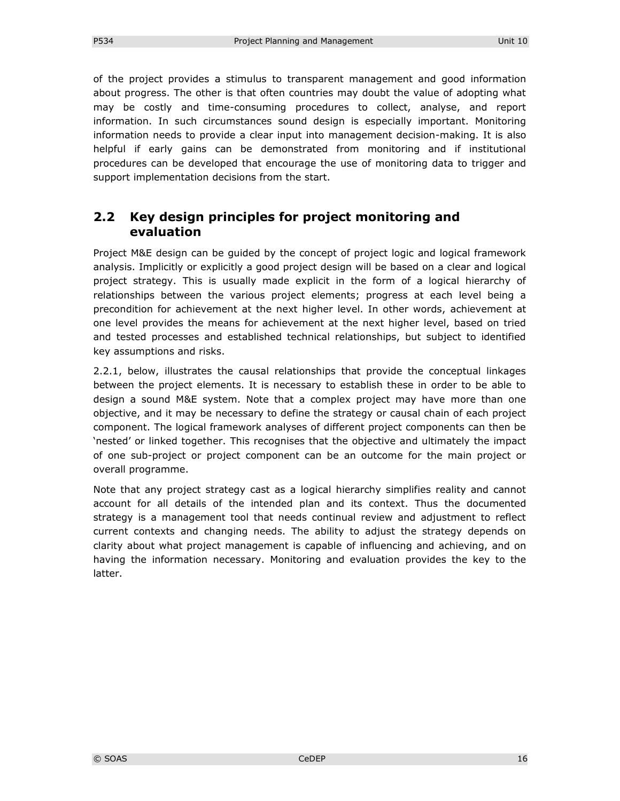of the project provides a stimulus to transparent management and good information about progress. The other is that often countries may doubt the value of adopting what may be costly and time-consuming procedures to collect, analyse, and report information. In such circumstances sound design is especially important. Monitoring information needs to provide a clear input into management decision-making. It is also helpful if early gains can be demonstrated from monitoring and if institutional procedures can be developed that encourage the use of monitoring data to trigger and support implementation decisions from the start.

# **2.2 Key design principles for project monitoring and evaluation**

Project M&E design can be guided by the concept of project logic and logical framework analysis. Implicitly or explicitly a good project design will be based on a clear and logical project strategy. This is usually made explicit in the form of a logical hierarchy of relationships between the various project elements; progress at each level being a precondition for achievement at the next higher level. In other words, achievement at one level provides the means for achievement at the next higher level, based on tried and tested processes and established technical relationships, but subject to identified key assumptions and risks.

2.2.1, below, illustrates the causal relationships that provide the conceptual linkages between the project elements. It is necessary to establish these in order to be able to design a sound M&E system. Note that a complex project may have more than one objective, and it may be necessary to define the strategy or causal chain of each project component. The logical framework analyses of different project components can then be 'nested' or linked together. This recognises that the objective and ultimately the impact of one sub-project or project component can be an outcome for the main project or overall programme.

Note that any project strategy cast as a logical hierarchy simplifies reality and cannot account for all details of the intended plan and its context. Thus the documented strategy is a management tool that needs continual review and adjustment to reflect current contexts and changing needs. The ability to adjust the strategy depends on clarity about what project management is capable of influencing and achieving, and on having the information necessary. Monitoring and evaluation provides the key to the latter.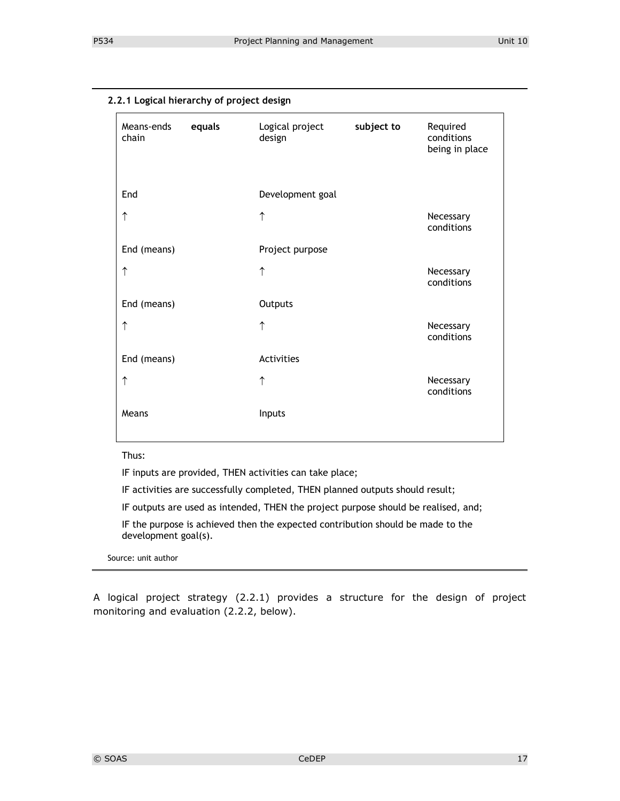| Means-ends<br>chain | equals | Logical project<br>design | subject to | Required<br>conditions<br>being in place |
|---------------------|--------|---------------------------|------------|------------------------------------------|
| End                 |        | Development goal          |            |                                          |
| ↑                   |        | $\uparrow$                |            | Necessary<br>conditions                  |
| End (means)         |        | Project purpose           |            |                                          |
| ↑                   |        | $\uparrow$                |            | Necessary<br>conditions                  |
| End (means)         |        | Outputs                   |            |                                          |
| $\uparrow$          |        | $\uparrow$                |            | Necessary<br>conditions                  |
| End (means)         |        | Activities                |            |                                          |
| ↑                   |        | $\uparrow$                |            | Necessary<br>conditions                  |
| Means               |        | Inputs                    |            |                                          |

Thus:

IF inputs are provided, THEN activities can take place;

IF activities are successfully completed, THEN planned outputs should result;

IF outputs are used as intended, THEN the project purpose should be realised, and;

IF the purpose is achieved then the expected contribution should be made to the development goal(s).

Source: unit author

A logical project strategy (2.2.1) provides a structure for the design of project monitoring and evaluation (2.2.2, below).

**2.2.1 Logical hierarchy of project design**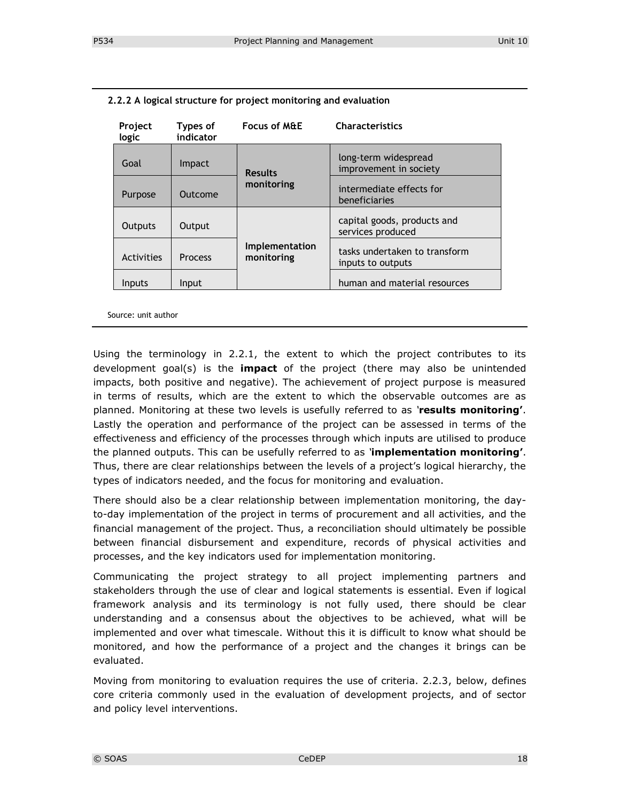| Project<br>logic | Types of<br>indicator | <b>Focus of M&amp;E</b>      | <b>Characteristics</b>                             |
|------------------|-----------------------|------------------------------|----------------------------------------------------|
| Goal             | <i>Impact</i>         | <b>Results</b>               | long-term widespread<br>improvement in society     |
| Purpose          | Outcome               | monitoring                   | intermediate effects for<br>beneficiaries          |
| Outputs          | Output                |                              | capital goods, products and<br>services produced   |
| Activities       | <b>Process</b>        | Implementation<br>monitoring | tasks undertaken to transform<br>inputs to outputs |
| Inputs           | Input                 |                              | human and material resources                       |

**2.2.2 A logical structure for project monitoring and evaluation**

Source: unit author

Using the terminology in 2.2.1, the extent to which the project contributes to its development goal(s) is the **impact** of the project (there may also be unintended impacts, both positive and negative). The achievement of project purpose is measured in terms of results, which are the extent to which the observable outcomes are as planned. Monitoring at these two levels is usefully referred to as *'***results monitoring'**. Lastly the operation and performance of the project can be assessed in terms of the effectiveness and efficiency of the processes through which inputs are utilised to produce the planned outputs. This can be usefully referred to as *'***implementation monitoring'**. Thus, there are clear relationships between the levels of a project's logical hierarchy, the types of indicators needed, and the focus for monitoring and evaluation.

There should also be a clear relationship between implementation monitoring, the dayto-day implementation of the project in terms of procurement and all activities, and the financial management of the project. Thus, a reconciliation should ultimately be possible between financial disbursement and expenditure, records of physical activities and processes, and the key indicators used for implementation monitoring.

Communicating the project strategy to all project implementing partners and stakeholders through the use of clear and logical statements is essential. Even if logical framework analysis and its terminology is not fully used, there should be clear understanding and a consensus about the objectives to be achieved, what will be implemented and over what timescale. Without this it is difficult to know what should be monitored, and how the performance of a project and the changes it brings can be evaluated.

Moving from monitoring to evaluation requires the use of criteria. 2.2.3, below, defines core criteria commonly used in the evaluation of development projects, and of sector and policy level interventions.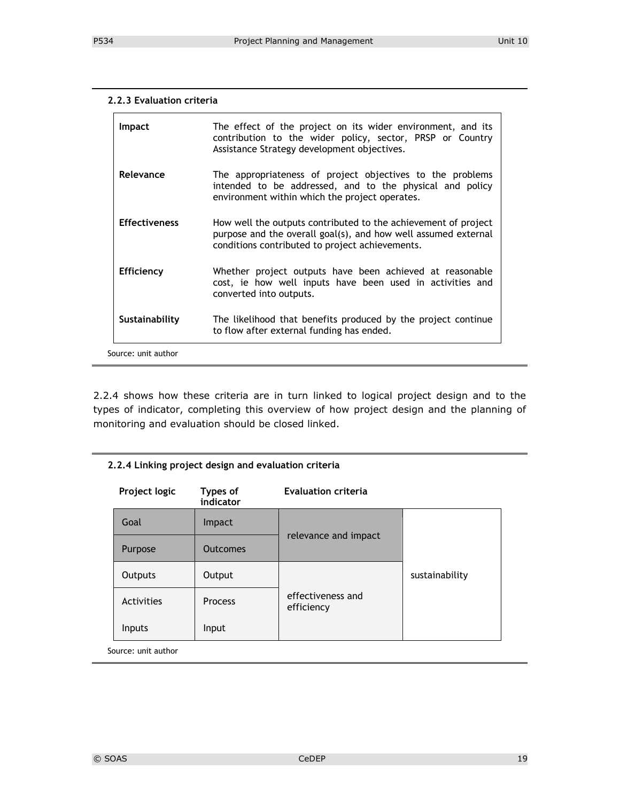#### **2.2.3 Evaluation criteria**

| <b>Impact</b>        | The effect of the project on its wider environment, and its<br>contribution to the wider policy, sector, PRSP or Country<br>Assistance Strategy development objectives.             |
|----------------------|-------------------------------------------------------------------------------------------------------------------------------------------------------------------------------------|
| Relevance            | The appropriateness of project objectives to the problems<br>intended to be addressed, and to the physical and policy<br>environment within which the project operates.             |
| <b>Effectiveness</b> | How well the outputs contributed to the achievement of project<br>purpose and the overall goal(s), and how well assumed external<br>conditions contributed to project achievements. |
| <b>Efficiency</b>    | Whether project outputs have been achieved at reasonable<br>cost, ie how well inputs have been used in activities and<br>converted into outputs.                                    |
| Sustainability       | The likelihood that benefits produced by the project continue<br>to flow after external funding has ended.                                                                          |
| Source: unit author  |                                                                                                                                                                                     |

2.2.4 shows how these criteria are in turn linked to logical project design and to the types of indicator, completing this overview of how project design and the planning of monitoring and evaluation should be closed linked.

#### **2.2.4 Linking project design and evaluation criteria**

| Project logic       | Types of<br>indicator | <b>Evaluation criteria</b>      |                |  |
|---------------------|-----------------------|---------------------------------|----------------|--|
| Goal                | <b>Impact</b>         |                                 |                |  |
| Purpose             | <b>Outcomes</b>       | relevance and impact            |                |  |
| Outputs             | Output                |                                 | sustainability |  |
| Activities          | <b>Process</b>        | effectiveness and<br>efficiency |                |  |
| Inputs              | Input                 |                                 |                |  |
| Source: unit author |                       |                                 |                |  |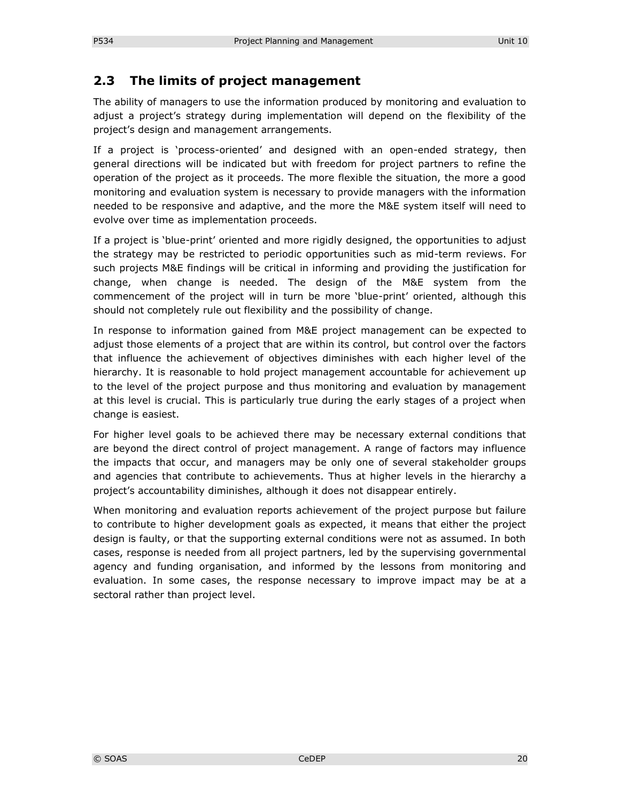### **2.3 The limits of project management**

The ability of managers to use the information produced by monitoring and evaluation to adjust a project's strategy during implementation will depend on the flexibility of the project's design and management arrangements.

If a project is 'process-oriented' and designed with an open-ended strategy, then general directions will be indicated but with freedom for project partners to refine the operation of the project as it proceeds. The more flexible the situation, the more a good monitoring and evaluation system is necessary to provide managers with the information needed to be responsive and adaptive, and the more the M&E system itself will need to evolve over time as implementation proceeds.

If a project is 'blue-print' oriented and more rigidly designed, the opportunities to adjust the strategy may be restricted to periodic opportunities such as mid-term reviews. For such projects M&E findings will be critical in informing and providing the justification for change, when change is needed. The design of the M&E system from the commencement of the project will in turn be more 'blue-print' oriented, although this should not completely rule out flexibility and the possibility of change.

In response to information gained from M&E project management can be expected to adjust those elements of a project that are within its control, but control over the factors that influence the achievement of objectives diminishes with each higher level of the hierarchy. It is reasonable to hold project management accountable for achievement up to the level of the project purpose and thus monitoring and evaluation by management at this level is crucial. This is particularly true during the early stages of a project when change is easiest.

For higher level goals to be achieved there may be necessary external conditions that are beyond the direct control of project management. A range of factors may influence the impacts that occur, and managers may be only one of several stakeholder groups and agencies that contribute to achievements. Thus at higher levels in the hierarchy a project's accountability diminishes, although it does not disappear entirely.

When monitoring and evaluation reports achievement of the project purpose but failure to contribute to higher development goals as expected, it means that either the project design is faulty, or that the supporting external conditions were not as assumed. In both cases, response is needed from all project partners, led by the supervising governmental agency and funding organisation, and informed by the lessons from monitoring and evaluation. In some cases, the response necessary to improve impact may be at a sectoral rather than project level.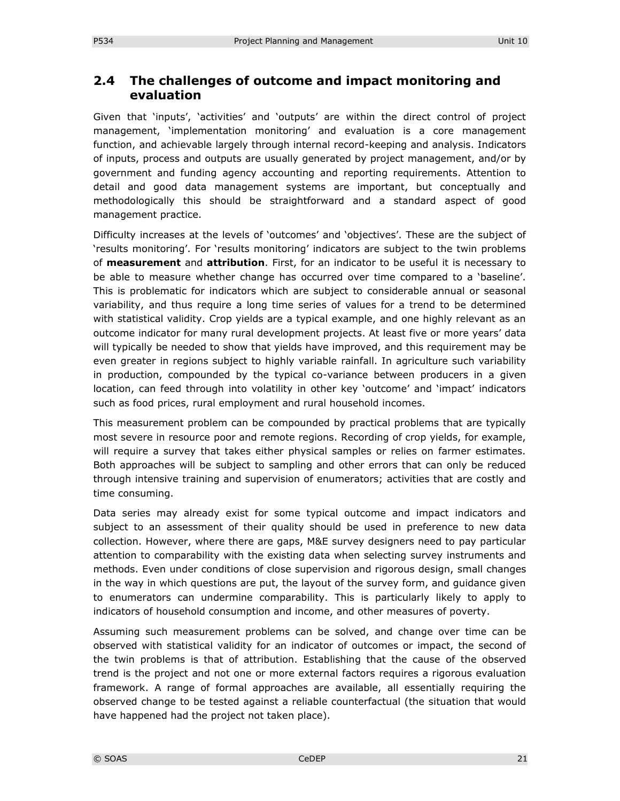## **2.4 The challenges of outcome and impact monitoring and evaluation**

Given that 'inputs', 'activities' and 'outputs' are within the direct control of project management, 'implementation monitoring' and evaluation is a core management function, and achievable largely through internal record-keeping and analysis. Indicators of inputs, process and outputs are usually generated by project management, and/or by government and funding agency accounting and reporting requirements. Attention to detail and good data management systems are important, but conceptually and methodologically this should be straightforward and a standard aspect of good management practice.

Difficulty increases at the levels of 'outcomes' and 'objectives'. These are the subject of 'results monitoring'. For 'results monitoring' indicators are subject to the twin problems of **measurement** and **attribution**. First, for an indicator to be useful it is necessary to be able to measure whether change has occurred over time compared to a 'baseline'. This is problematic for indicators which are subject to considerable annual or seasonal variability, and thus require a long time series of values for a trend to be determined with statistical validity. Crop yields are a typical example, and one highly relevant as an outcome indicator for many rural development projects. At least five or more years' data will typically be needed to show that yields have improved, and this requirement may be even greater in regions subject to highly variable rainfall. In agriculture such variability in production, compounded by the typical co-variance between producers in a given location, can feed through into volatility in other key 'outcome' and 'impact' indicators such as food prices, rural employment and rural household incomes.

This measurement problem can be compounded by practical problems that are typically most severe in resource poor and remote regions. Recording of crop yields, for example, will require a survey that takes either physical samples or relies on farmer estimates. Both approaches will be subject to sampling and other errors that can only be reduced through intensive training and supervision of enumerators; activities that are costly and time consuming.

Data series may already exist for some typical outcome and impact indicators and subject to an assessment of their quality should be used in preference to new data collection. However, where there are gaps, M&E survey designers need to pay particular attention to comparability with the existing data when selecting survey instruments and methods. Even under conditions of close supervision and rigorous design, small changes in the way in which questions are put, the layout of the survey form, and guidance given to enumerators can undermine comparability. This is particularly likely to apply to indicators of household consumption and income, and other measures of poverty.

Assuming such measurement problems can be solved, and change over time can be observed with statistical validity for an indicator of outcomes or impact, the second of the twin problems is that of attribution. Establishing that the cause of the observed trend is the project and not one or more external factors requires a rigorous evaluation framework. A range of formal approaches are available, all essentially requiring the observed change to be tested against a reliable counterfactual (the situation that would have happened had the project not taken place).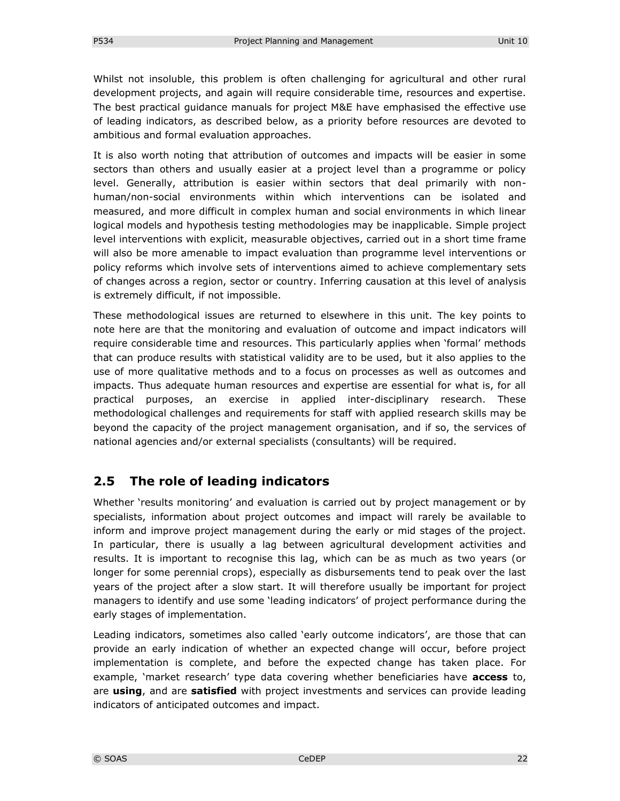Whilst not insoluble, this problem is often challenging for agricultural and other rural development projects, and again will require considerable time, resources and expertise. The best practical guidance manuals for project M&E have emphasised the effective use of leading indicators, as described below, as a priority before resources are devoted to ambitious and formal evaluation approaches.

It is also worth noting that attribution of outcomes and impacts will be easier in some sectors than others and usually easier at a project level than a programme or policy level. Generally, attribution is easier within sectors that deal primarily with nonhuman/non-social environments within which interventions can be isolated and measured, and more difficult in complex human and social environments in which linear logical models and hypothesis testing methodologies may be inapplicable. Simple project level interventions with explicit, measurable objectives, carried out in a short time frame will also be more amenable to impact evaluation than programme level interventions or policy reforms which involve sets of interventions aimed to achieve complementary sets of changes across a region, sector or country. Inferring causation at this level of analysis is extremely difficult, if not impossible.

These methodological issues are returned to elsewhere in this unit. The key points to note here are that the monitoring and evaluation of outcome and impact indicators will require considerable time and resources. This particularly applies when 'formal' methods that can produce results with statistical validity are to be used, but it also applies to the use of more qualitative methods and to a focus on processes as well as outcomes and impacts. Thus adequate human resources and expertise are essential for what is, for all practical purposes, an exercise in applied inter-disciplinary research. These methodological challenges and requirements for staff with applied research skills may be beyond the capacity of the project management organisation, and if so, the services of national agencies and/or external specialists (consultants) will be required.

# **2.5 The role of leading indicators**

Whether 'results monitoring' and evaluation is carried out by project management or by specialists, information about project outcomes and impact will rarely be available to inform and improve project management during the early or mid stages of the project. In particular, there is usually a lag between agricultural development activities and results. It is important to recognise this lag, which can be as much as two years (or longer for some perennial crops), especially as disbursements tend to peak over the last years of the project after a slow start. It will therefore usually be important for project managers to identify and use some 'leading indicators' of project performance during the early stages of implementation.

Leading indicators, sometimes also called 'early outcome indicators', are those that can provide an early indication of whether an expected change will occur, before project implementation is complete, and before the expected change has taken place. For example, 'market research' type data covering whether beneficiaries have **access** to, are **using**, and are **satisfied** with project investments and services can provide leading indicators of anticipated outcomes and impact.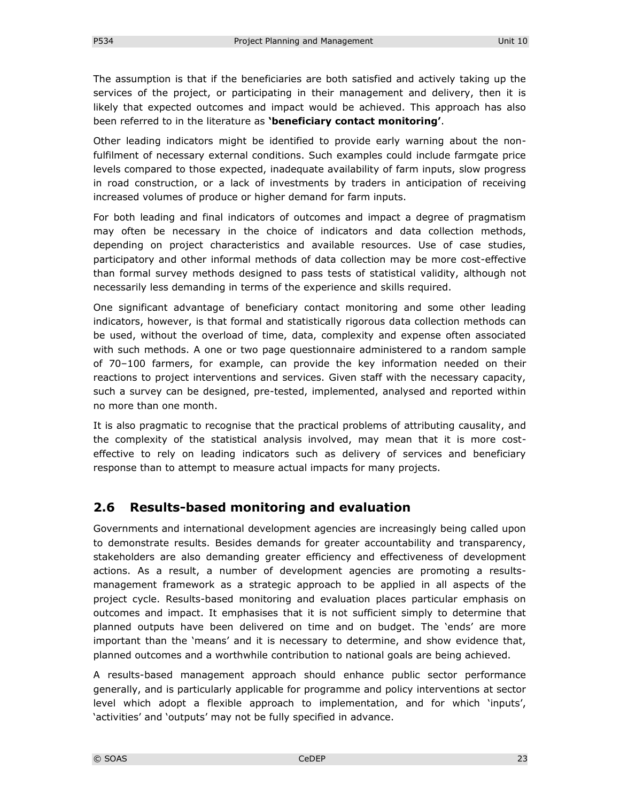The assumption is that if the beneficiaries are both satisfied and actively taking up the services of the project, or participating in their management and delivery, then it is likely that expected outcomes and impact would be achieved. This approach has also been referred to in the literature as **'beneficiary contact monitoring'**.

Other leading indicators might be identified to provide early warning about the nonfulfilment of necessary external conditions. Such examples could include farmgate price levels compared to those expected, inadequate availability of farm inputs, slow progress in road construction, or a lack of investments by traders in anticipation of receiving increased volumes of produce or higher demand for farm inputs.

For both leading and final indicators of outcomes and impact a degree of pragmatism may often be necessary in the choice of indicators and data collection methods, depending on project characteristics and available resources. Use of case studies, participatory and other informal methods of data collection may be more cost-effective than formal survey methods designed to pass tests of statistical validity, although not necessarily less demanding in terms of the experience and skills required.

One significant advantage of beneficiary contact monitoring and some other leading indicators, however, is that formal and statistically rigorous data collection methods can be used, without the overload of time, data, complexity and expense often associated with such methods. A one or two page questionnaire administered to a random sample of 70–100 farmers, for example, can provide the key information needed on their reactions to project interventions and services. Given staff with the necessary capacity, such a survey can be designed, pre-tested, implemented, analysed and reported within no more than one month.

It is also pragmatic to recognise that the practical problems of attributing causality, and the complexity of the statistical analysis involved, may mean that it is more costeffective to rely on leading indicators such as delivery of services and beneficiary response than to attempt to measure actual impacts for many projects.

# **2.6 Results-based monitoring and evaluation**

Governments and international development agencies are increasingly being called upon to demonstrate results. Besides demands for greater accountability and transparency, stakeholders are also demanding greater efficiency and effectiveness of development actions. As a result, a number of development agencies are promoting a resultsmanagement framework as a strategic approach to be applied in all aspects of the project cycle. Results-based monitoring and evaluation places particular emphasis on outcomes and impact. It emphasises that it is not sufficient simply to determine that planned outputs have been delivered on time and on budget. The 'ends' are more important than the 'means' and it is necessary to determine, and show evidence that, planned outcomes and a worthwhile contribution to national goals are being achieved.

A results-based management approach should enhance public sector performance generally, and is particularly applicable for programme and policy interventions at sector level which adopt a flexible approach to implementation, and for which 'inputs', 'activities' and 'outputs' may not be fully specified in advance.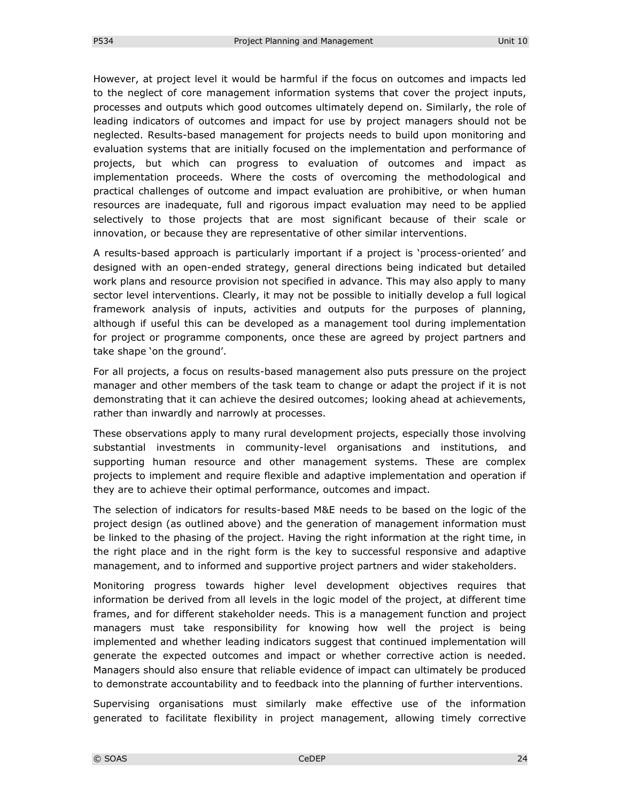However, at project level it would be harmful if the focus on outcomes and impacts led to the neglect of core management information systems that cover the project inputs, processes and outputs which good outcomes ultimately depend on. Similarly, the role of leading indicators of outcomes and impact for use by project managers should not be neglected. Results-based management for projects needs to build upon monitoring and evaluation systems that are initially focused on the implementation and performance of projects, but which can progress to evaluation of outcomes and impact as implementation proceeds. Where the costs of overcoming the methodological and practical challenges of outcome and impact evaluation are prohibitive, or when human resources are inadequate, full and rigorous impact evaluation may need to be applied selectively to those projects that are most significant because of their scale or innovation, or because they are representative of other similar interventions.

A results-based approach is particularly important if a project is 'process-oriented' and designed with an open-ended strategy, general directions being indicated but detailed work plans and resource provision not specified in advance. This may also apply to many sector level interventions. Clearly, it may not be possible to initially develop a full logical framework analysis of inputs, activities and outputs for the purposes of planning, although if useful this can be developed as a management tool during implementation for project or programme components, once these are agreed by project partners and take shape 'on the ground'.

For all projects, a focus on results-based management also puts pressure on the project manager and other members of the task team to change or adapt the project if it is not demonstrating that it can achieve the desired outcomes; looking ahead at achievements, rather than inwardly and narrowly at processes.

These observations apply to many rural development projects, especially those involving substantial investments in community-level organisations and institutions, and supporting human resource and other management systems. These are complex projects to implement and require flexible and adaptive implementation and operation if they are to achieve their optimal performance, outcomes and impact.

The selection of indicators for results-based M&E needs to be based on the logic of the project design (as outlined above) and the generation of management information must be linked to the phasing of the project. Having the right information at the right time, in the right place and in the right form is the key to successful responsive and adaptive management, and to informed and supportive project partners and wider stakeholders.

Monitoring progress towards higher level development objectives requires that information be derived from all levels in the logic model of the project, at different time frames, and for different stakeholder needs. This is a management function and project managers must take responsibility for knowing how well the project is being implemented and whether leading indicators suggest that continued implementation will generate the expected outcomes and impact or whether corrective action is needed. Managers should also ensure that reliable evidence of impact can ultimately be produced to demonstrate accountability and to feedback into the planning of further interventions.

Supervising organisations must similarly make effective use of the information generated to facilitate flexibility in project management, allowing timely corrective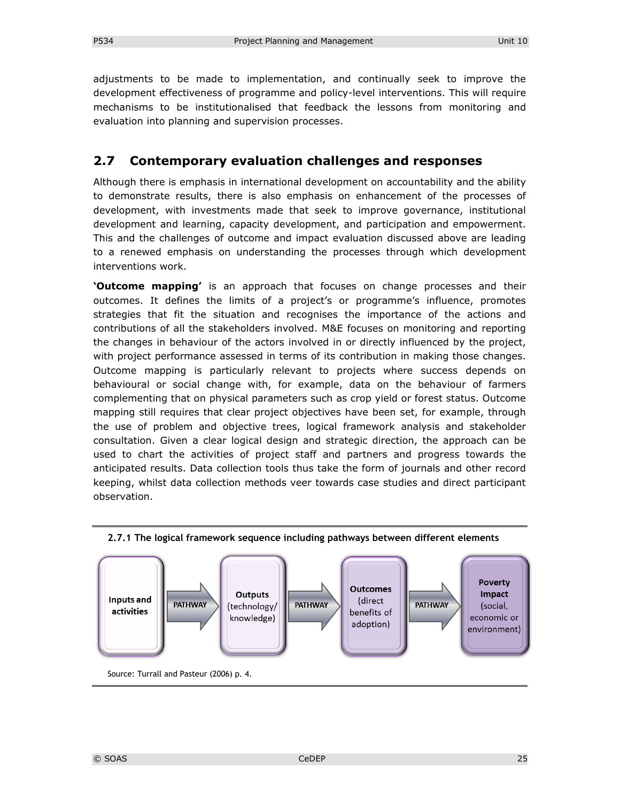adjustments to be made to implementation, and continually seek to improve the development effectiveness of programme and policy-level interventions. This will require mechanisms to be institutionalised that feedback the lessons from monitoring and evaluation into planning and supervision processes.

### **2.7 Contemporary evaluation challenges and responses**

Although there is emphasis in international development on accountability and the ability to demonstrate results, there is also emphasis on enhancement of the processes of development, with investments made that seek to improve governance, institutional development and learning, capacity development, and participation and empowerment. This and the challenges of outcome and impact evaluation discussed above are leading to a renewed emphasis on understanding the processes through which development interventions work.

**'Outcome mapping'** is an approach that focuses on change processes and their outcomes. It defines the limits of a project's or programme's influence, promotes strategies that fit the situation and recognises the importance of the actions and contributions of all the stakeholders involved. M&E focuses on monitoring and reporting the changes in behaviour of the actors involved in or directly influenced by the project, with project performance assessed in terms of its contribution in making those changes. Outcome mapping is particularly relevant to projects where success depends on behavioural or social change with, for example, data on the behaviour of farmers complementing that on physical parameters such as crop yield or forest status. Outcome mapping still requires that clear project objectives have been set, for example, through the use of problem and objective trees, logical framework analysis and stakeholder consultation. Given a clear logical design and strategic direction, the approach can be used to chart the activities of project staff and partners and progress towards the anticipated results. Data collection tools thus take the form of journals and other record keeping, whilst data collection methods veer towards case studies and direct participant observation.



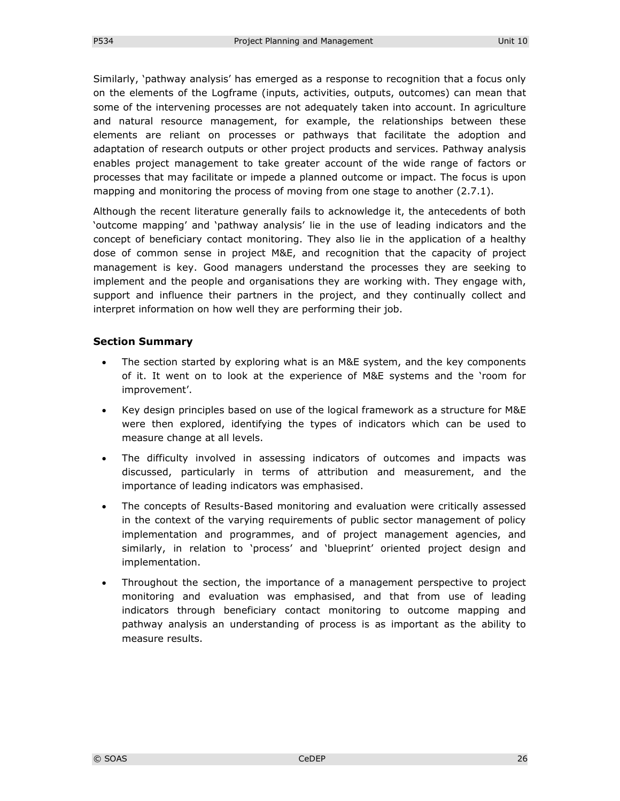Similarly, 'pathway analysis' has emerged as a response to recognition that a focus only on the elements of the Logframe (inputs, activities, outputs, outcomes) can mean that some of the intervening processes are not adequately taken into account. In agriculture and natural resource management, for example, the relationships between these elements are reliant on processes or pathways that facilitate the adoption and adaptation of research outputs or other project products and services. Pathway analysis enables project management to take greater account of the wide range of factors or processes that may facilitate or impede a planned outcome or impact. The focus is upon mapping and monitoring the process of moving from one stage to another (2.7.1).

Although the recent literature generally fails to acknowledge it, the antecedents of both 'outcome mapping' and 'pathway analysis' lie in the use of leading indicators and the concept of beneficiary contact monitoring. They also lie in the application of a healthy dose of common sense in project M&E, and recognition that the capacity of project management is key. Good managers understand the processes they are seeking to implement and the people and organisations they are working with. They engage with, support and influence their partners in the project, and they continually collect and interpret information on how well they are performing their job.

#### **Section Summary**

- The section started by exploring what is an M&E system, and the key components of it. It went on to look at the experience of M&E systems and the 'room for improvement'.
- Key design principles based on use of the logical framework as a structure for M&E were then explored, identifying the types of indicators which can be used to measure change at all levels.
- The difficulty involved in assessing indicators of outcomes and impacts was discussed, particularly in terms of attribution and measurement, and the importance of leading indicators was emphasised.
- The concepts of Results-Based monitoring and evaluation were critically assessed in the context of the varying requirements of public sector management of policy implementation and programmes, and of project management agencies, and similarly, in relation to 'process' and 'blueprint' oriented project design and implementation.
- Throughout the section, the importance of a management perspective to project monitoring and evaluation was emphasised, and that from use of leading indicators through beneficiary contact monitoring to outcome mapping and pathway analysis an understanding of process is as important as the ability to measure results.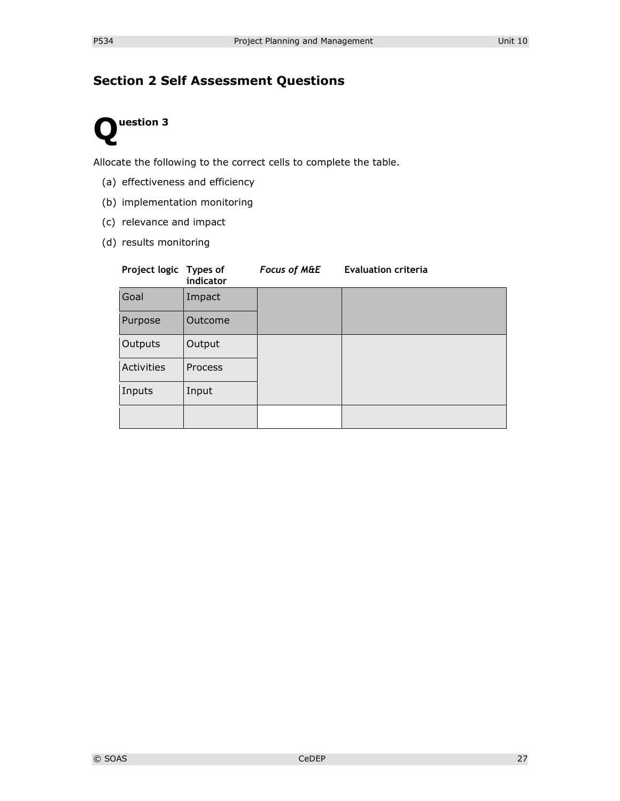# **Section 2 Self Assessment Questions**

# **uestion 3 Q**

Allocate the following to the correct cells to complete the table.

- (a) effectiveness and efficiency
- (b) implementation monitoring
- (c) relevance and impact
- (d) results monitoring

| Project logic Types of | indicator      | <b>Focus of M&amp;E</b> | <b>Evaluation criteria</b> |
|------------------------|----------------|-------------------------|----------------------------|
| Goal                   | Impact         |                         |                            |
| Purpose                | Outcome        |                         |                            |
| Outputs                | Output         |                         |                            |
| Activities             | <b>Process</b> |                         |                            |
| Inputs                 | Input          |                         |                            |
|                        |                |                         |                            |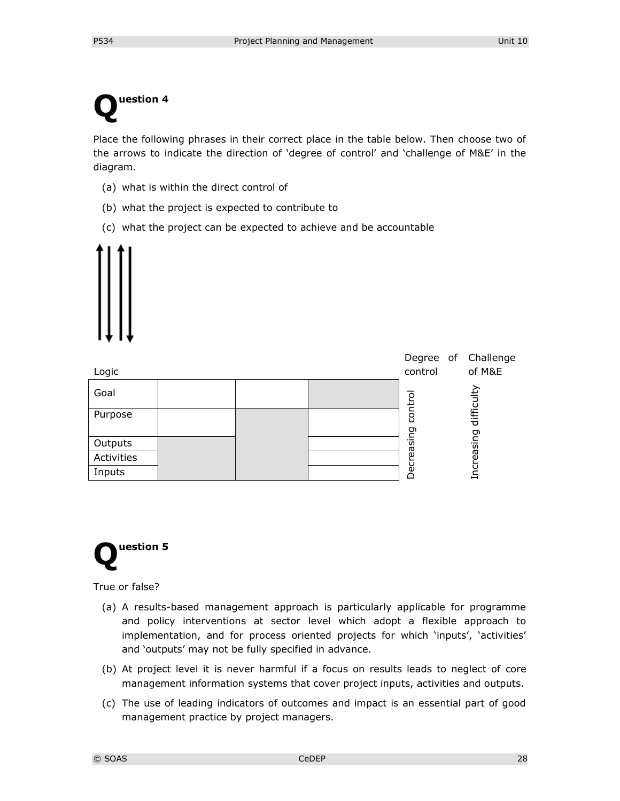# **uestion 4 Q**

Place the following phrases in their correct place in the table below. Then choose two of the arrows to indicate the direction of 'degree of control' and 'challenge of M&E' in the diagram.

- (a) what is within the direct control of
- (b) what the project is expected to contribute to
- (c) what the project can be expected to achieve and be accountable



| Logic      |  | Degree of Challenge<br>control | of M&E     |
|------------|--|--------------------------------|------------|
| Goal       |  | ç                              | difficulty |
| Purpose    |  | contr<br>Σū                    |            |
| Outputs    |  | ัต                             | easing     |
| Activities |  | άĝ                             |            |
| Inputs     |  |                                | ⊣          |



True or false?

- (a) A results-based management approach is particularly applicable for programme and policy interventions at sector level which adopt a flexible approach to implementation, and for process oriented projects for which 'inputs', 'activities' and 'outputs' may not be fully specified in advance.
- (b) At project level it is never harmful if a focus on results leads to neglect of core management information systems that cover project inputs, activities and outputs.
- (c) The use of leading indicators of outcomes and impact is an essential part of good management practice by project managers.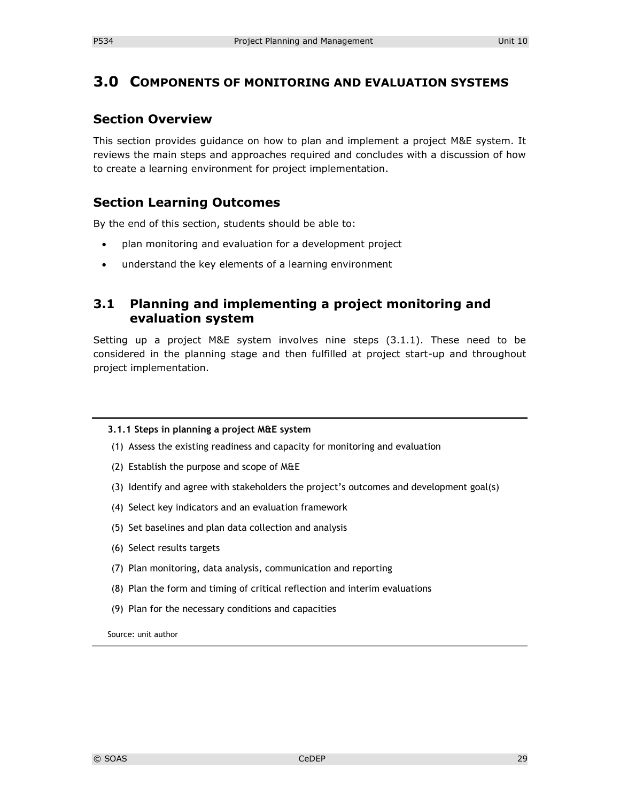# **3.0 COMPONENTS OF MONITORING AND EVALUATION SYSTEMS**

### **Section Overview**

This section provides guidance on how to plan and implement a project M&E system. It reviews the main steps and approaches required and concludes with a discussion of how to create a learning environment for project implementation.

## **Section Learning Outcomes**

By the end of this section, students should be able to:

- plan monitoring and evaluation for a development project
- understand the key elements of a learning environment

## **3.1 Planning and implementing a project monitoring and evaluation system**

Setting up a project M&E system involves nine steps (3.1.1). These need to be considered in the planning stage and then fulfilled at project start-up and throughout project implementation.

#### **3.1.1 Steps in planning a project M&E system**

- (1) Assess the existing readiness and capacity for monitoring and evaluation
- (2) Establish the purpose and scope of M&E
- (3) Identify and agree with stakeholders the project's outcomes and development goal(s)
- (4) Select key indicators and an evaluation framework
- (5) Set baselines and plan data collection and analysis
- (6) Select results targets
- (7) Plan monitoring, data analysis, communication and reporting
- (8) Plan the form and timing of critical reflection and interim evaluations
- (9) Plan for the necessary conditions and capacities

Source: unit author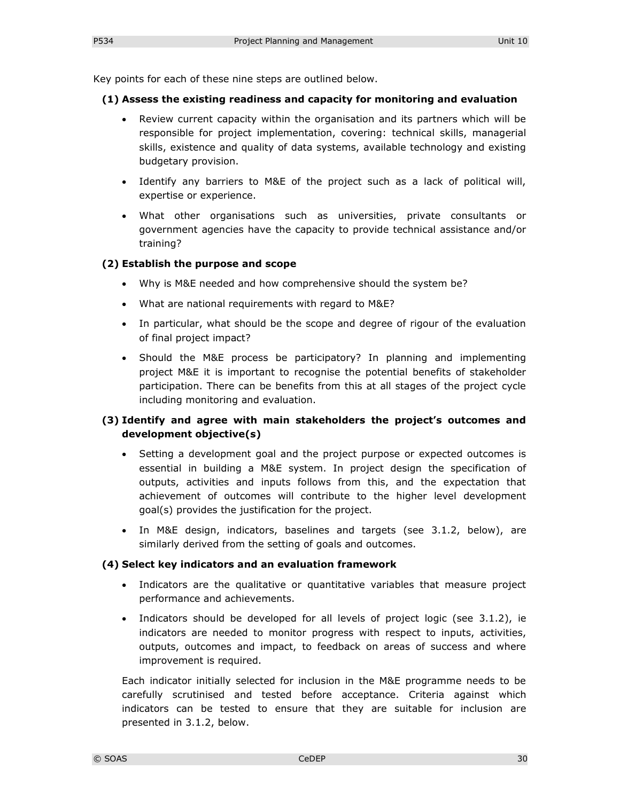Key points for each of these nine steps are outlined below.

#### **(1) Assess the existing readiness and capacity for monitoring and evaluation**

- Review current capacity within the organisation and its partners which will be responsible for project implementation, covering: technical skills, managerial skills, existence and quality of data systems, available technology and existing budgetary provision.
- Identify any barriers to M&E of the project such as a lack of political will, expertise or experience.
- What other organisations such as universities, private consultants or government agencies have the capacity to provide technical assistance and/or training?

#### **(2) Establish the purpose and scope**

- Why is M&E needed and how comprehensive should the system be?
- What are national requirements with regard to M&E?
- In particular, what should be the scope and degree of rigour of the evaluation of final project impact?
- Should the M&E process be participatory? In planning and implementing project M&E it is important to recognise the potential benefits of stakeholder participation. There can be benefits from this at all stages of the project cycle including monitoring and evaluation.

### **(3) Identify and agree with main stakeholders the project's outcomes and development objective(s)**

- Setting a development goal and the project purpose or expected outcomes is essential in building a M&E system. In project design the specification of outputs, activities and inputs follows from this, and the expectation that achievement of outcomes will contribute to the higher level development goal(s) provides the justification for the project.
- In M&E design, indicators, baselines and targets (see 3.1.2, below), are similarly derived from the setting of goals and outcomes.

#### **(4) Select key indicators and an evaluation framework**

- Indicators are the qualitative or quantitative variables that measure project performance and achievements.
- Indicators should be developed for all levels of project logic (see 3.1.2), ie indicators are needed to monitor progress with respect to inputs, activities, outputs, outcomes and impact, to feedback on areas of success and where improvement is required.

Each indicator initially selected for inclusion in the M&E programme needs to be carefully scrutinised and tested before acceptance. Criteria against which indicators can be tested to ensure that they are suitable for inclusion are presented in 3.1.2, below.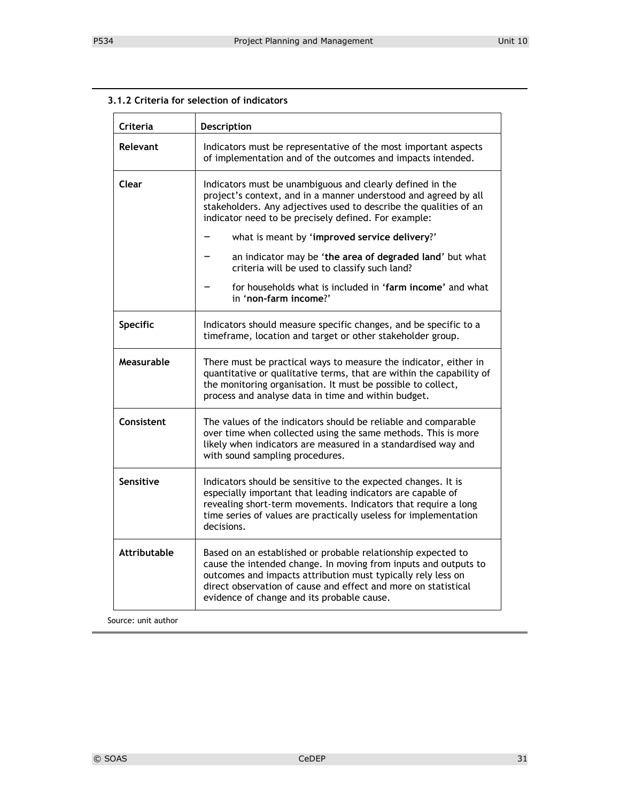| Criteria            | Description                                                                                                                                                                                                                                                                                                     |  |
|---------------------|-----------------------------------------------------------------------------------------------------------------------------------------------------------------------------------------------------------------------------------------------------------------------------------------------------------------|--|
| Relevant            | Indicators must be representative of the most important aspects<br>of implementation and of the outcomes and impacts intended.                                                                                                                                                                                  |  |
| Clear               | Indicators must be unambiguous and clearly defined in the<br>project's context, and in a manner understood and agreed by all<br>stakeholders. Any adjectives used to describe the qualities of an<br>indicator need to be precisely defined. For example:                                                       |  |
|                     | what is meant by 'improved service delivery?'                                                                                                                                                                                                                                                                   |  |
|                     | an indicator may be 'the area of degraded land' but what<br>criteria will be used to classify such land?                                                                                                                                                                                                        |  |
|                     | for households what is included in 'farm income' and what<br>in 'non-farm income?'                                                                                                                                                                                                                              |  |
| Specific            | Indicators should measure specific changes, and be specific to a<br>timeframe, location and target or other stakeholder group.                                                                                                                                                                                  |  |
| Measurable          | There must be practical ways to measure the indicator, either in<br>quantitative or qualitative terms, that are within the capability of<br>the monitoring organisation. It must be possible to collect,<br>process and analyse data in time and within budget.                                                 |  |
| Consistent          | The values of the indicators should be reliable and comparable<br>over time when collected using the same methods. This is more<br>likely when indicators are measured in a standardised way and<br>with sound sampling procedures.                                                                             |  |
| Sensitive           | Indicators should be sensitive to the expected changes. It is<br>especially important that leading indicators are capable of<br>revealing short-term movements. Indicators that require a long<br>time series of values are practically useless for implementation<br>decisions.                                |  |
| <b>Attributable</b> | Based on an established or probable relationship expected to<br>cause the intended change. In moving from inputs and outputs to<br>outcomes and impacts attribution must typically rely less on<br>direct observation of cause and effect and more on statistical<br>evidence of change and its probable cause. |  |

#### **3.1.2 Criteria for selection of indicators**

Source: unit author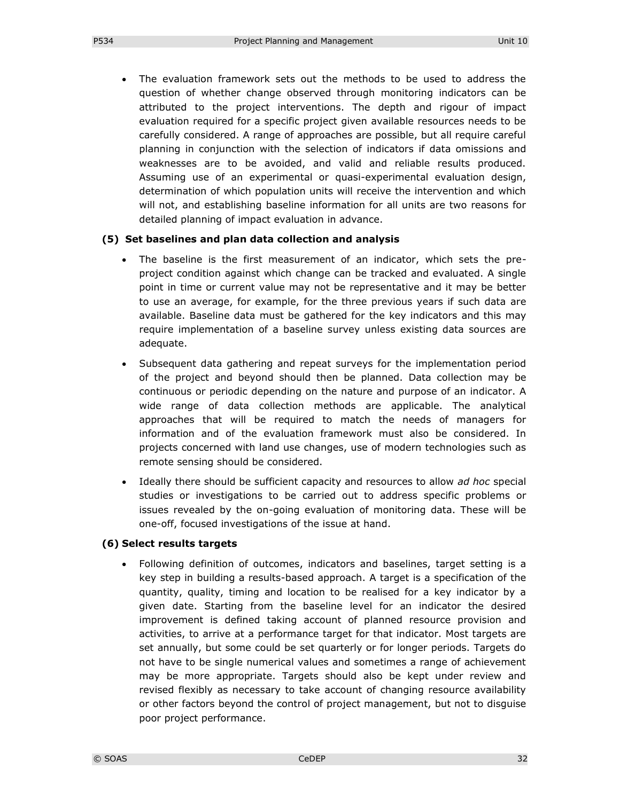The evaluation framework sets out the methods to be used to address the question of whether change observed through monitoring indicators can be attributed to the project interventions. The depth and rigour of impact evaluation required for a specific project given available resources needs to be carefully considered. A range of approaches are possible, but all require careful planning in conjunction with the selection of indicators if data omissions and weaknesses are to be avoided, and valid and reliable results produced. Assuming use of an experimental or quasi-experimental evaluation design, determination of which population units will receive the intervention and which will not, and establishing baseline information for all units are two reasons for detailed planning of impact evaluation in advance.

#### **(5) Set baselines and plan data collection and analysis**

- The baseline is the first measurement of an indicator, which sets the preproject condition against which change can be tracked and evaluated. A single point in time or current value may not be representative and it may be better to use an average, for example, for the three previous years if such data are available. Baseline data must be gathered for the key indicators and this may require implementation of a baseline survey unless existing data sources are adequate.
- Subsequent data gathering and repeat surveys for the implementation period of the project and beyond should then be planned. Data collection may be continuous or periodic depending on the nature and purpose of an indicator. A wide range of data collection methods are applicable. The analytical approaches that will be required to match the needs of managers for information and of the evaluation framework must also be considered. In projects concerned with land use changes, use of modern technologies such as remote sensing should be considered.
- Ideally there should be sufficient capacity and resources to allow *ad hoc* special studies or investigations to be carried out to address specific problems or issues revealed by the on-going evaluation of monitoring data. These will be one-off, focused investigations of the issue at hand.

#### **(6) Select results targets**

 Following definition of outcomes, indicators and baselines, target setting is a key step in building a results-based approach. A target is a specification of the quantity, quality, timing and location to be realised for a key indicator by a given date. Starting from the baseline level for an indicator the desired improvement is defined taking account of planned resource provision and activities, to arrive at a performance target for that indicator. Most targets are set annually, but some could be set quarterly or for longer periods. Targets do not have to be single numerical values and sometimes a range of achievement may be more appropriate. Targets should also be kept under review and revised flexibly as necessary to take account of changing resource availability or other factors beyond the control of project management, but not to disguise poor project performance.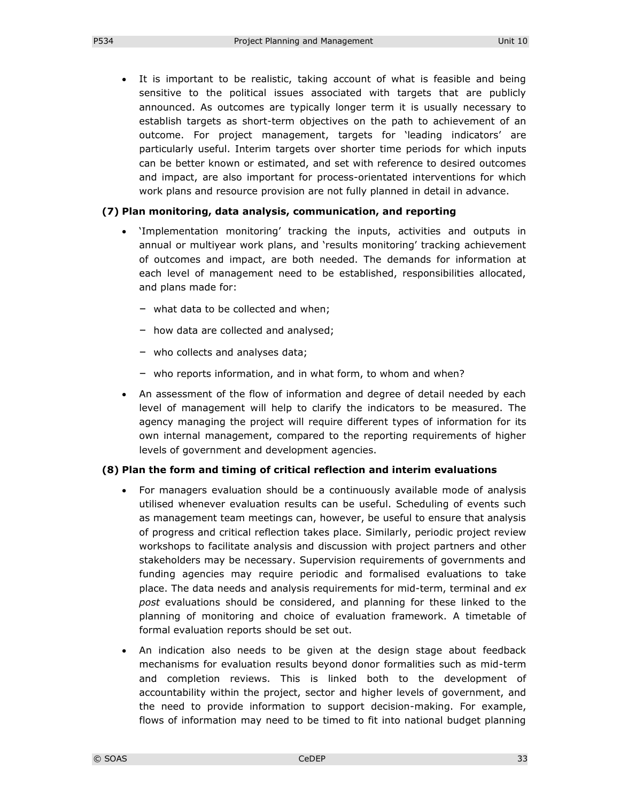It is important to be realistic, taking account of what is feasible and being sensitive to the political issues associated with targets that are publicly announced. As outcomes are typically longer term it is usually necessary to establish targets as short-term objectives on the path to achievement of an outcome. For project management, targets for 'leading indicators' are particularly useful. Interim targets over shorter time periods for which inputs can be better known or estimated, and set with reference to desired outcomes and impact, are also important for process-orientated interventions for which work plans and resource provision are not fully planned in detail in advance.

#### **(7) Plan monitoring, data analysis, communication, and reporting**

- 'Implementation monitoring' tracking the inputs, activities and outputs in annual or multiyear work plans, and 'results monitoring' tracking achievement of outcomes and impact, are both needed. The demands for information at each level of management need to be established, responsibilities allocated, and plans made for:
	- what data to be collected and when;
	- how data are collected and analysed;
	- who collects and analyses data;
	- who reports information, and in what form, to whom and when?
- An assessment of the flow of information and degree of detail needed by each level of management will help to clarify the indicators to be measured. The agency managing the project will require different types of information for its own internal management, compared to the reporting requirements of higher levels of government and development agencies.

#### **(8) Plan the form and timing of critical reflection and interim evaluations**

- For managers evaluation should be a continuously available mode of analysis utilised whenever evaluation results can be useful. Scheduling of events such as management team meetings can, however, be useful to ensure that analysis of progress and critical reflection takes place. Similarly, periodic project review workshops to facilitate analysis and discussion with project partners and other stakeholders may be necessary. Supervision requirements of governments and funding agencies may require periodic and formalised evaluations to take place. The data needs and analysis requirements for mid-term, terminal and *ex post* evaluations should be considered, and planning for these linked to the planning of monitoring and choice of evaluation framework. A timetable of formal evaluation reports should be set out.
- An indication also needs to be given at the design stage about feedback mechanisms for evaluation results beyond donor formalities such as mid-term and completion reviews. This is linked both to the development of accountability within the project, sector and higher levels of government, and the need to provide information to support decision-making. For example, flows of information may need to be timed to fit into national budget planning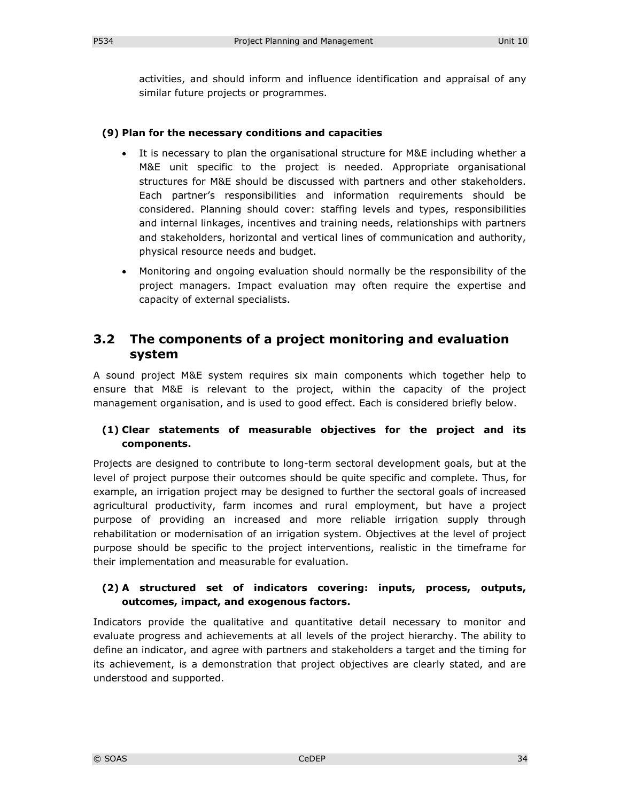activities, and should inform and influence identification and appraisal of any similar future projects or programmes.

#### **(9) Plan for the necessary conditions and capacities**

- It is necessary to plan the organisational structure for M&E including whether a M&E unit specific to the project is needed. Appropriate organisational structures for M&E should be discussed with partners and other stakeholders. Each partner's responsibilities and information requirements should be considered. Planning should cover: staffing levels and types, responsibilities and internal linkages, incentives and training needs, relationships with partners and stakeholders, horizontal and vertical lines of communication and authority, physical resource needs and budget.
- Monitoring and ongoing evaluation should normally be the responsibility of the project managers. Impact evaluation may often require the expertise and capacity of external specialists.

### **3.2 The components of a project monitoring and evaluation system**

A sound project M&E system requires six main components which together help to ensure that M&E is relevant to the project, within the capacity of the project management organisation, and is used to good effect. Each is considered briefly below.

#### **(1) Clear statements of measurable objectives for the project and its components.**

Projects are designed to contribute to long-term sectoral development goals, but at the level of project purpose their outcomes should be quite specific and complete. Thus, for example, an irrigation project may be designed to further the sectoral goals of increased agricultural productivity, farm incomes and rural employment, but have a project purpose of providing an increased and more reliable irrigation supply through rehabilitation or modernisation of an irrigation system. Objectives at the level of project purpose should be specific to the project interventions, realistic in the timeframe for their implementation and measurable for evaluation.

#### **(2) A structured set of indicators covering: inputs, process, outputs, outcomes, impact, and exogenous factors.**

Indicators provide the qualitative and quantitative detail necessary to monitor and evaluate progress and achievements at all levels of the project hierarchy. The ability to define an indicator, and agree with partners and stakeholders a target and the timing for its achievement, is a demonstration that project objectives are clearly stated, and are understood and supported.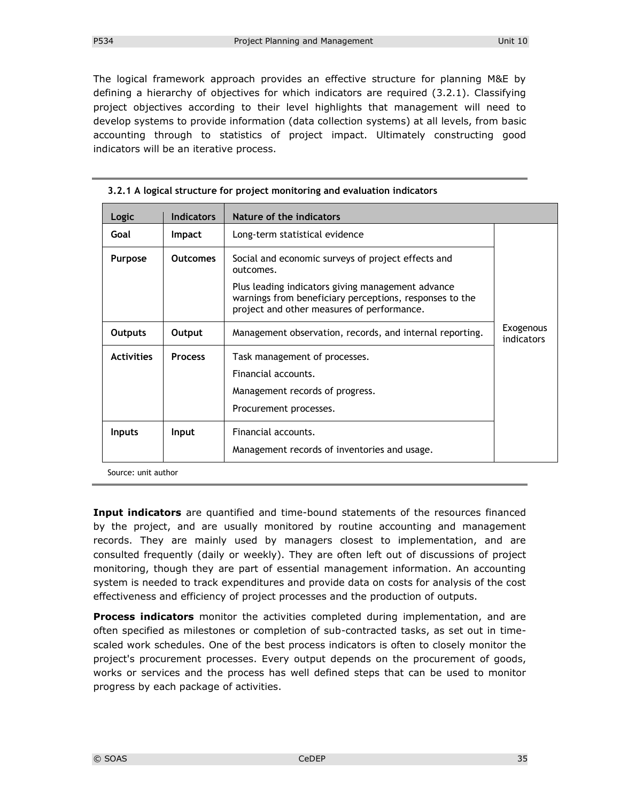The logical framework approach provides an effective structure for planning M&E by defining a hierarchy of objectives for which indicators are required (3.2.1). Classifying project objectives according to their level highlights that management will need to develop systems to provide information (data collection systems) at all levels, from basic accounting through to statistics of project impact. Ultimately constructing good indicators will be an iterative process.

| Logic             | <b>Indicators</b> | Nature of the indicators                                                                                                                                                                                                      |                         |
|-------------------|-------------------|-------------------------------------------------------------------------------------------------------------------------------------------------------------------------------------------------------------------------------|-------------------------|
| Goal              | <b>Impact</b>     | Long-term statistical evidence                                                                                                                                                                                                |                         |
| <b>Purpose</b>    | <b>Outcomes</b>   | Social and economic surveys of project effects and<br>outcomes.<br>Plus leading indicators giving management advance<br>warnings from beneficiary perceptions, responses to the<br>project and other measures of performance. |                         |
| <b>Outputs</b>    | Output            | Management observation, records, and internal reporting.                                                                                                                                                                      | Exogenous<br>indicators |
| <b>Activities</b> | <b>Process</b>    | Task management of processes.<br>Financial accounts.<br>Management records of progress.<br>Procurement processes.                                                                                                             |                         |
| <b>Inputs</b>     | Input             | Financial accounts.<br>Management records of inventories and usage.                                                                                                                                                           |                         |

#### **3.2.1 A logical structure for project monitoring and evaluation indicators**

Source: unit author

**Input indicators** are quantified and time-bound statements of the resources financed by the project, and are usually monitored by routine accounting and management records. They are mainly used by managers closest to implementation, and are consulted frequently (daily or weekly). They are often left out of discussions of project monitoring, though they are part of essential management information. An accounting system is needed to track expenditures and provide data on costs for analysis of the cost effectiveness and efficiency of project processes and the production of outputs.

**Process indicators** monitor the activities completed during implementation, and are often specified as milestones or completion of sub-contracted tasks, as set out in timescaled work schedules. One of the best process indicators is often to closely monitor the project's procurement processes. Every output depends on the procurement of goods, works or services and the process has well defined steps that can be used to monitor progress by each package of activities.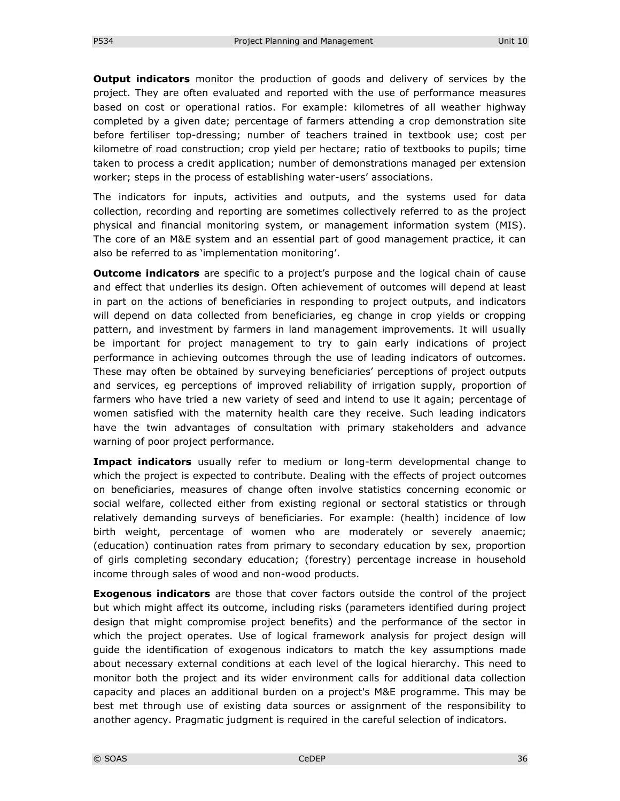**Output indicators** monitor the production of goods and delivery of services by the project. They are often evaluated and reported with the use of performance measures based on cost or operational ratios. For example: kilometres of all weather highway completed by a given date; percentage of farmers attending a crop demonstration site before fertiliser top-dressing; number of teachers trained in textbook use; cost per kilometre of road construction; crop yield per hectare; ratio of textbooks to pupils; time taken to process a credit application; number of demonstrations managed per extension worker; steps in the process of establishing water-users' associations.

The indicators for inputs, activities and outputs, and the systems used for data collection, recording and reporting are sometimes collectively referred to as the project physical and financial monitoring system, or management information system (MIS). The core of an M&E system and an essential part of good management practice, it can also be referred to as 'implementation monitoring'.

**Outcome indicators** are specific to a project's purpose and the logical chain of cause and effect that underlies its design. Often achievement of outcomes will depend at least in part on the actions of beneficiaries in responding to project outputs, and indicators will depend on data collected from beneficiaries, eg change in crop yields or cropping pattern, and investment by farmers in land management improvements. It will usually be important for project management to try to gain early indications of project performance in achieving outcomes through the use of leading indicators of outcomes. These may often be obtained by surveying beneficiaries' perceptions of project outputs and services, eg perceptions of improved reliability of irrigation supply, proportion of farmers who have tried a new variety of seed and intend to use it again; percentage of women satisfied with the maternity health care they receive. Such leading indicators have the twin advantages of consultation with primary stakeholders and advance warning of poor project performance.

**Impact indicators** usually refer to medium or long-term developmental change to which the project is expected to contribute. Dealing with the effects of project outcomes on beneficiaries, measures of change often involve statistics concerning economic or social welfare, collected either from existing regional or sectoral statistics or through relatively demanding surveys of beneficiaries. For example: (health) incidence of low birth weight, percentage of women who are moderately or severely anaemic; (education) continuation rates from primary to secondary education by sex, proportion of girls completing secondary education; (forestry) percentage increase in household income through sales of wood and non-wood products.

**Exogenous indicators** are those that cover factors outside the control of the project but which might affect its outcome, including risks (parameters identified during project design that might compromise project benefits) and the performance of the sector in which the project operates. Use of logical framework analysis for project design will guide the identification of exogenous indicators to match the key assumptions made about necessary external conditions at each level of the logical hierarchy. This need to monitor both the project and its wider environment calls for additional data collection capacity and places an additional burden on a project's M&E programme. This may be best met through use of existing data sources or assignment of the responsibility to another agency. Pragmatic judgment is required in the careful selection of indicators.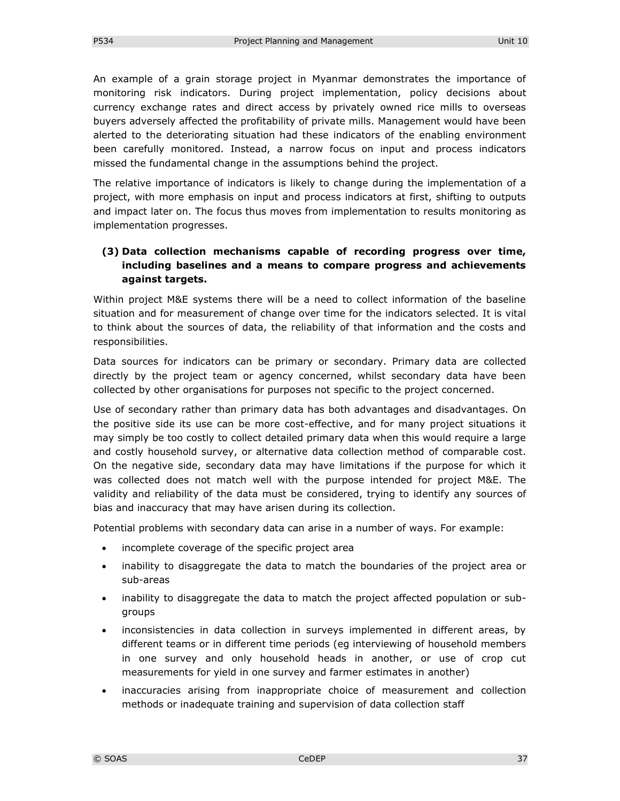An example of a grain storage project in Myanmar demonstrates the importance of monitoring risk indicators. During project implementation, policy decisions about currency exchange rates and direct access by privately owned rice mills to overseas buyers adversely affected the profitability of private mills. Management would have been alerted to the deteriorating situation had these indicators of the enabling environment been carefully monitored. Instead, a narrow focus on input and process indicators missed the fundamental change in the assumptions behind the project.

The relative importance of indicators is likely to change during the implementation of a project, with more emphasis on input and process indicators at first, shifting to outputs and impact later on. The focus thus moves from implementation to results monitoring as implementation progresses.

### **(3) Data collection mechanisms capable of recording progress over time, including baselines and a means to compare progress and achievements against targets.**

Within project M&E systems there will be a need to collect information of the baseline situation and for measurement of change over time for the indicators selected. It is vital to think about the sources of data, the reliability of that information and the costs and responsibilities.

Data sources for indicators can be primary or secondary. Primary data are collected directly by the project team or agency concerned, whilst secondary data have been collected by other organisations for purposes not specific to the project concerned.

Use of secondary rather than primary data has both advantages and disadvantages. On the positive side its use can be more cost-effective, and for many project situations it may simply be too costly to collect detailed primary data when this would require a large and costly household survey, or alternative data collection method of comparable cost. On the negative side, secondary data may have limitations if the purpose for which it was collected does not match well with the purpose intended for project M&E. The validity and reliability of the data must be considered, trying to identify any sources of bias and inaccuracy that may have arisen during its collection.

Potential problems with secondary data can arise in a number of ways. For example:

- incomplete coverage of the specific project area
- inability to disaggregate the data to match the boundaries of the project area or sub-areas
- inability to disaggregate the data to match the project affected population or subgroups
- inconsistencies in data collection in surveys implemented in different areas, by different teams or in different time periods (eg interviewing of household members in one survey and only household heads in another, or use of crop cut measurements for yield in one survey and farmer estimates in another)
- inaccuracies arising from inappropriate choice of measurement and collection methods or inadequate training and supervision of data collection staff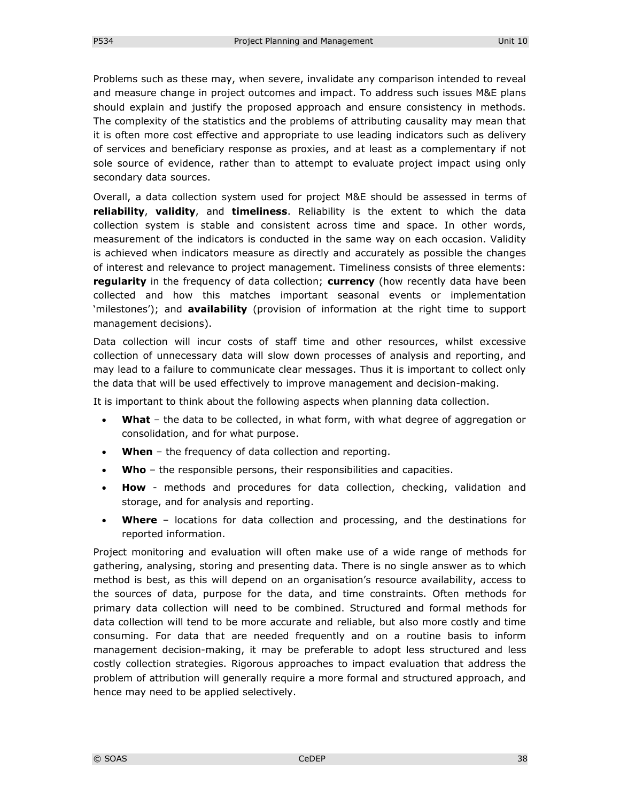Problems such as these may, when severe, invalidate any comparison intended to reveal and measure change in project outcomes and impact. To address such issues M&E plans should explain and justify the proposed approach and ensure consistency in methods. The complexity of the statistics and the problems of attributing causality may mean that it is often more cost effective and appropriate to use leading indicators such as delivery of services and beneficiary response as proxies, and at least as a complementary if not sole source of evidence, rather than to attempt to evaluate project impact using only secondary data sources.

Overall, a data collection system used for project M&E should be assessed in terms of **reliability**, **validity**, and **timeliness**. Reliability is the extent to which the data collection system is stable and consistent across time and space. In other words, measurement of the indicators is conducted in the same way on each occasion. Validity is achieved when indicators measure as directly and accurately as possible the changes of interest and relevance to project management. Timeliness consists of three elements: **regularity** in the frequency of data collection; **currency** (how recently data have been collected and how this matches important seasonal events or implementation 'milestones'); and **availability** (provision of information at the right time to support management decisions).

Data collection will incur costs of staff time and other resources, whilst excessive collection of unnecessary data will slow down processes of analysis and reporting, and may lead to a failure to communicate clear messages. Thus it is important to collect only the data that will be used effectively to improve management and decision-making.

It is important to think about the following aspects when planning data collection.

- **What** the data to be collected, in what form, with what degree of aggregation or consolidation, and for what purpose.
- **When** the frequency of data collection and reporting.
- **Who** the responsible persons, their responsibilities and capacities.
- **How** methods and procedures for data collection, checking, validation and storage, and for analysis and reporting.
- **Where** locations for data collection and processing, and the destinations for reported information.

Project monitoring and evaluation will often make use of a wide range of methods for gathering, analysing, storing and presenting data. There is no single answer as to which method is best, as this will depend on an organisation's resource availability, access to the sources of data, purpose for the data, and time constraints. Often methods for primary data collection will need to be combined. Structured and formal methods for data collection will tend to be more accurate and reliable, but also more costly and time consuming. For data that are needed frequently and on a routine basis to inform management decision-making, it may be preferable to adopt less structured and less costly collection strategies. Rigorous approaches to impact evaluation that address the problem of attribution will generally require a more formal and structured approach, and hence may need to be applied selectively.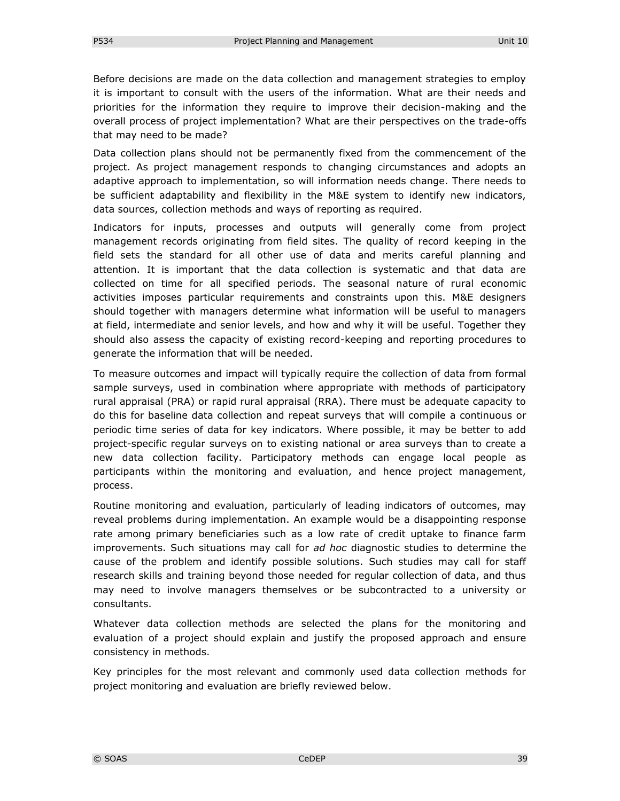Before decisions are made on the data collection and management strategies to employ it is important to consult with the users of the information. What are their needs and priorities for the information they require to improve their decision-making and the overall process of project implementation? What are their perspectives on the trade-offs that may need to be made?

Data collection plans should not be permanently fixed from the commencement of the project. As project management responds to changing circumstances and adopts an adaptive approach to implementation, so will information needs change. There needs to be sufficient adaptability and flexibility in the M&E system to identify new indicators, data sources, collection methods and ways of reporting as required.

Indicators for inputs, processes and outputs will generally come from project management records originating from field sites. The quality of record keeping in the field sets the standard for all other use of data and merits careful planning and attention. It is important that the data collection is systematic and that data are collected on time for all specified periods. The seasonal nature of rural economic activities imposes particular requirements and constraints upon this. M&E designers should together with managers determine what information will be useful to managers at field, intermediate and senior levels, and how and why it will be useful. Together they should also assess the capacity of existing record-keeping and reporting procedures to generate the information that will be needed.

To measure outcomes and impact will typically require the collection of data from formal sample surveys, used in combination where appropriate with methods of participatory rural appraisal (PRA) or rapid rural appraisal (RRA). There must be adequate capacity to do this for baseline data collection and repeat surveys that will compile a continuous or periodic time series of data for key indicators. Where possible, it may be better to add project-specific regular surveys on to existing national or area surveys than to create a new data collection facility. Participatory methods can engage local people as participants within the monitoring and evaluation, and hence project management, process.

Routine monitoring and evaluation, particularly of leading indicators of outcomes, may reveal problems during implementation. An example would be a disappointing response rate among primary beneficiaries such as a low rate of credit uptake to finance farm improvements. Such situations may call for *ad hoc* diagnostic studies to determine the cause of the problem and identify possible solutions. Such studies may call for staff research skills and training beyond those needed for regular collection of data, and thus may need to involve managers themselves or be subcontracted to a university or consultants.

Whatever data collection methods are selected the plans for the monitoring and evaluation of a project should explain and justify the proposed approach and ensure consistency in methods.

Key principles for the most relevant and commonly used data collection methods for project monitoring and evaluation are briefly reviewed below.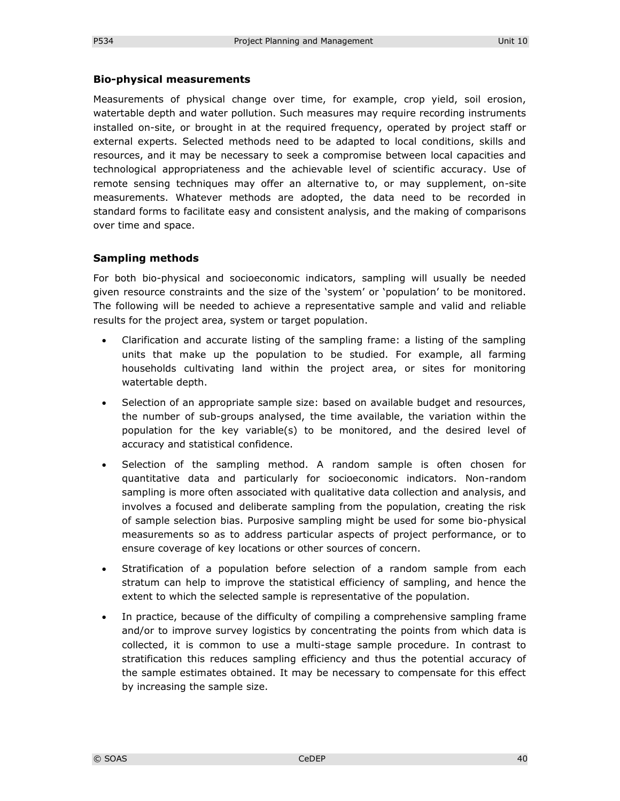#### **Bio-physical measurements**

Measurements of physical change over time, for example, crop yield, soil erosion, watertable depth and water pollution. Such measures may require recording instruments installed on-site, or brought in at the required frequency, operated by project staff or external experts. Selected methods need to be adapted to local conditions, skills and resources, and it may be necessary to seek a compromise between local capacities and technological appropriateness and the achievable level of scientific accuracy. Use of remote sensing techniques may offer an alternative to, or may supplement, on-site measurements. Whatever methods are adopted, the data need to be recorded in standard forms to facilitate easy and consistent analysis, and the making of comparisons over time and space.

#### **Sampling methods**

For both bio-physical and socioeconomic indicators, sampling will usually be needed given resource constraints and the size of the 'system' or 'population' to be monitored. The following will be needed to achieve a representative sample and valid and reliable results for the project area, system or target population.

- Clarification and accurate listing of the sampling frame: a listing of the sampling units that make up the population to be studied. For example, all farming households cultivating land within the project area, or sites for monitoring watertable depth.
- Selection of an appropriate sample size: based on available budget and resources, the number of sub-groups analysed, the time available, the variation within the population for the key variable(s) to be monitored, and the desired level of accuracy and statistical confidence.
- Selection of the sampling method. A random sample is often chosen for quantitative data and particularly for socioeconomic indicators. Non-random sampling is more often associated with qualitative data collection and analysis, and involves a focused and deliberate sampling from the population, creating the risk of sample selection bias. Purposive sampling might be used for some bio-physical measurements so as to address particular aspects of project performance, or to ensure coverage of key locations or other sources of concern.
- Stratification of a population before selection of a random sample from each stratum can help to improve the statistical efficiency of sampling, and hence the extent to which the selected sample is representative of the population.
- In practice, because of the difficulty of compiling a comprehensive sampling frame and/or to improve survey logistics by concentrating the points from which data is collected, it is common to use a multi-stage sample procedure. In contrast to stratification this reduces sampling efficiency and thus the potential accuracy of the sample estimates obtained. It may be necessary to compensate for this effect by increasing the sample size.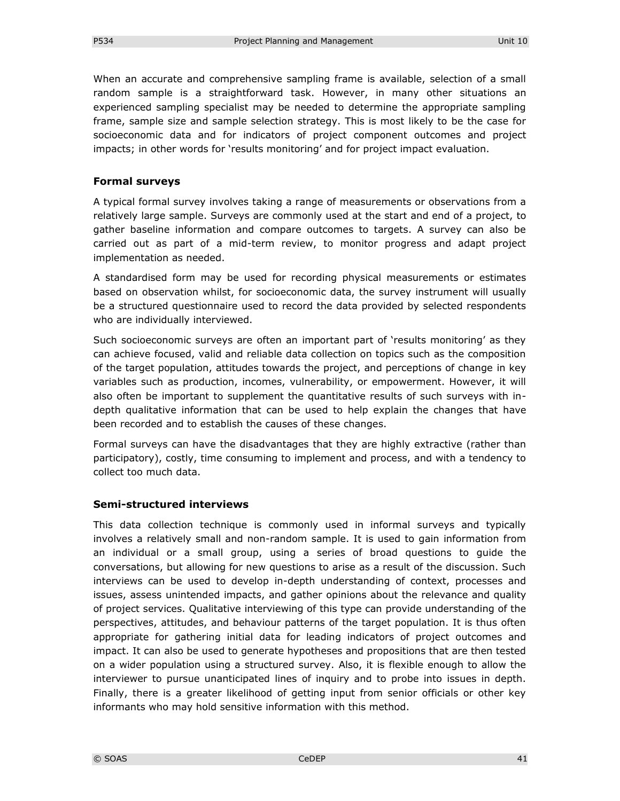When an accurate and comprehensive sampling frame is available, selection of a small random sample is a straightforward task. However, in many other situations an experienced sampling specialist may be needed to determine the appropriate sampling frame, sample size and sample selection strategy. This is most likely to be the case for socioeconomic data and for indicators of project component outcomes and project impacts; in other words for 'results monitoring' and for project impact evaluation.

#### **Formal surveys**

A typical formal survey involves taking a range of measurements or observations from a relatively large sample. Surveys are commonly used at the start and end of a project, to gather baseline information and compare outcomes to targets. A survey can also be carried out as part of a mid-term review, to monitor progress and adapt project implementation as needed.

A standardised form may be used for recording physical measurements or estimates based on observation whilst, for socioeconomic data, the survey instrument will usually be a structured questionnaire used to record the data provided by selected respondents who are individually interviewed.

Such socioeconomic surveys are often an important part of 'results monitoring' as they can achieve focused, valid and reliable data collection on topics such as the composition of the target population, attitudes towards the project, and perceptions of change in key variables such as production, incomes, vulnerability, or empowerment. However, it will also often be important to supplement the quantitative results of such surveys with indepth qualitative information that can be used to help explain the changes that have been recorded and to establish the causes of these changes.

Formal surveys can have the disadvantages that they are highly extractive (rather than participatory), costly, time consuming to implement and process, and with a tendency to collect too much data.

#### **Semi-structured interviews**

This data collection technique is commonly used in informal surveys and typically involves a relatively small and non-random sample. It is used to gain information from an individual or a small group, using a series of broad questions to guide the conversations, but allowing for new questions to arise as a result of the discussion. Such interviews can be used to develop in-depth understanding of context, processes and issues, assess unintended impacts, and gather opinions about the relevance and quality of project services. Qualitative interviewing of this type can provide understanding of the perspectives, attitudes, and behaviour patterns of the target population. It is thus often appropriate for gathering initial data for leading indicators of project outcomes and impact. It can also be used to generate hypotheses and propositions that are then tested on a wider population using a structured survey. Also, it is flexible enough to allow the interviewer to pursue unanticipated lines of inquiry and to probe into issues in depth. Finally, there is a greater likelihood of getting input from senior officials or other key informants who may hold sensitive information with this method.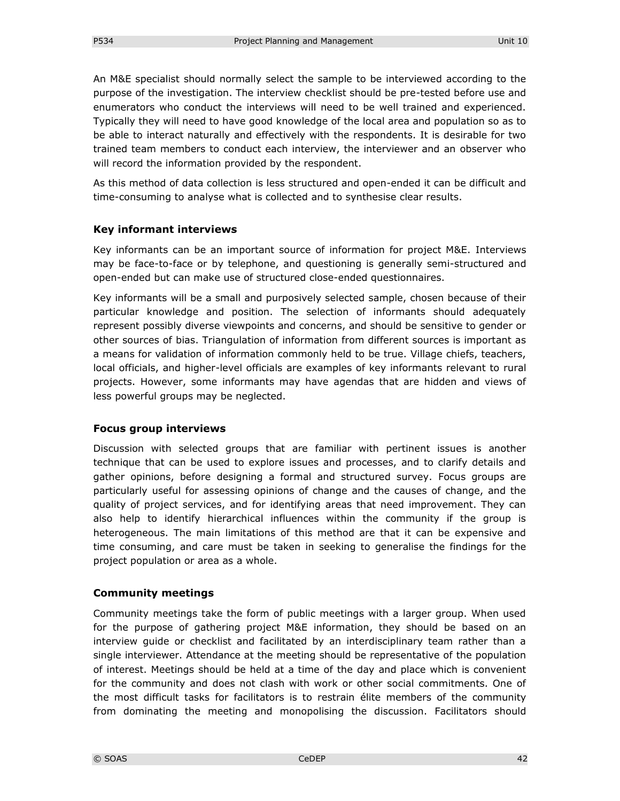An M&E specialist should normally select the sample to be interviewed according to the purpose of the investigation. The interview checklist should be pre-tested before use and enumerators who conduct the interviews will need to be well trained and experienced. Typically they will need to have good knowledge of the local area and population so as to be able to interact naturally and effectively with the respondents. It is desirable for two trained team members to conduct each interview, the interviewer and an observer who will record the information provided by the respondent.

As this method of data collection is less structured and open-ended it can be difficult and time-consuming to analyse what is collected and to synthesise clear results.

#### **Key informant interviews**

Key informants can be an important source of information for project M&E. Interviews may be face-to-face or by telephone, and questioning is generally semi-structured and open-ended but can make use of structured close-ended questionnaires.

Key informants will be a small and purposively selected sample, chosen because of their particular knowledge and position. The selection of informants should adequately represent possibly diverse viewpoints and concerns, and should be sensitive to gender or other sources of bias. Triangulation of information from different sources is important as a means for validation of information commonly held to be true. Village chiefs, teachers, local officials, and higher-level officials are examples of key informants relevant to rural projects. However, some informants may have agendas that are hidden and views of less powerful groups may be neglected.

#### **Focus group interviews**

Discussion with selected groups that are familiar with pertinent issues is another technique that can be used to explore issues and processes, and to clarify details and gather opinions, before designing a formal and structured survey. Focus groups are particularly useful for assessing opinions of change and the causes of change, and the quality of project services, and for identifying areas that need improvement. They can also help to identify hierarchical influences within the community if the group is heterogeneous. The main limitations of this method are that it can be expensive and time consuming, and care must be taken in seeking to generalise the findings for the project population or area as a whole.

#### **Community meetings**

Community meetings take the form of public meetings with a larger group. When used for the purpose of gathering project M&E information, they should be based on an interview guide or checklist and facilitated by an interdisciplinary team rather than a single interviewer. Attendance at the meeting should be representative of the population of interest. Meetings should be held at a time of the day and place which is convenient for the community and does not clash with work or other social commitments. One of the most difficult tasks for facilitators is to restrain élite members of the community from dominating the meeting and monopolising the discussion. Facilitators should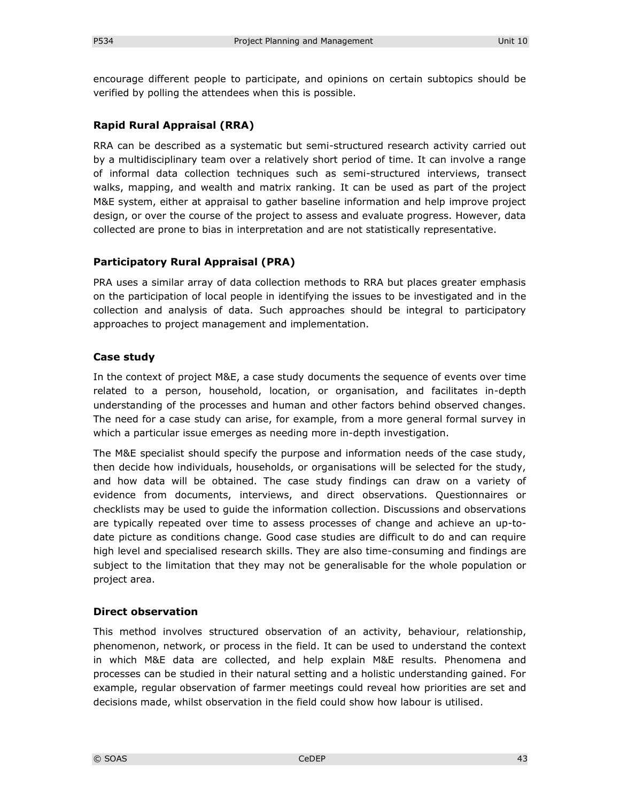encourage different people to participate, and opinions on certain subtopics should be verified by polling the attendees when this is possible.

#### **Rapid Rural Appraisal (RRA)**

RRA can be described as a systematic but semi-structured research activity carried out by a multidisciplinary team over a relatively short period of time. It can involve a range of informal data collection techniques such as semi-structured interviews, transect walks, mapping, and wealth and matrix ranking. It can be used as part of the project M&E system, either at appraisal to gather baseline information and help improve project design, or over the course of the project to assess and evaluate progress. However, data collected are prone to bias in interpretation and are not statistically representative.

#### **Participatory Rural Appraisal (PRA)**

PRA uses a similar array of data collection methods to RRA but places greater emphasis on the participation of local people in identifying the issues to be investigated and in the collection and analysis of data. Such approaches should be integral to participatory approaches to project management and implementation.

#### **Case study**

In the context of project M&E, a case study documents the sequence of events over time related to a person, household, location, or organisation, and facilitates in-depth understanding of the processes and human and other factors behind observed changes. The need for a case study can arise, for example, from a more general formal survey in which a particular issue emerges as needing more in-depth investigation.

The M&E specialist should specify the purpose and information needs of the case study, then decide how individuals, households, or organisations will be selected for the study, and how data will be obtained. The case study findings can draw on a variety of evidence from documents, interviews, and direct observations. Questionnaires or checklists may be used to guide the information collection. Discussions and observations are typically repeated over time to assess processes of change and achieve an up-todate picture as conditions change. Good case studies are difficult to do and can require high level and specialised research skills. They are also time-consuming and findings are subject to the limitation that they may not be generalisable for the whole population or project area.

#### **Direct observation**

This method involves structured observation of an activity, behaviour, relationship, phenomenon, network, or process in the field. It can be used to understand the context in which M&E data are collected, and help explain M&E results. Phenomena and processes can be studied in their natural setting and a holistic understanding gained. For example, regular observation of farmer meetings could reveal how priorities are set and decisions made, whilst observation in the field could show how labour is utilised.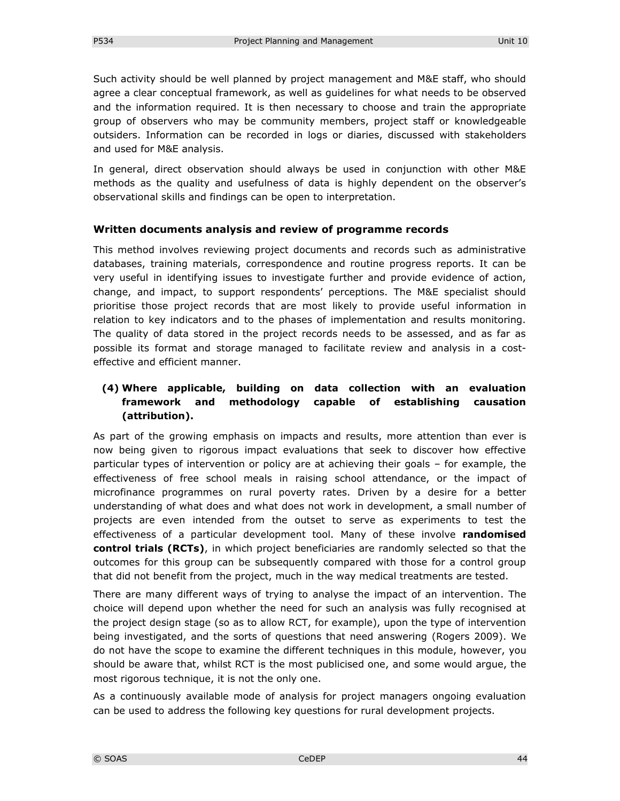Such activity should be well planned by project management and M&E staff, who should agree a clear conceptual framework, as well as guidelines for what needs to be observed and the information required. It is then necessary to choose and train the appropriate group of observers who may be community members, project staff or knowledgeable outsiders. Information can be recorded in logs or diaries, discussed with stakeholders and used for M&E analysis.

In general, direct observation should always be used in conjunction with other M&E methods as the quality and usefulness of data is highly dependent on the observer's observational skills and findings can be open to interpretation.

#### **Written documents analysis and review of programme records**

This method involves reviewing project documents and records such as administrative databases, training materials, correspondence and routine progress reports. It can be very useful in identifying issues to investigate further and provide evidence of action, change, and impact, to support respondents' perceptions. The M&E specialist should prioritise those project records that are most likely to provide useful information in relation to key indicators and to the phases of implementation and results monitoring. The quality of data stored in the project records needs to be assessed, and as far as possible its format and storage managed to facilitate review and analysis in a costeffective and efficient manner.

### **(4) Where applicable, building on data collection with an evaluation framework and methodology capable of establishing causation (attribution).**

As part of the growing emphasis on impacts and results, more attention than ever is now being given to rigorous impact evaluations that seek to discover how effective particular types of intervention or policy are at achieving their goals – for example, the effectiveness of free school meals in raising school attendance, or the impact of microfinance programmes on rural poverty rates. Driven by a desire for a better understanding of what does and what does not work in development, a small number of projects are even intended from the outset to serve as experiments to test the effectiveness of a particular development tool. Many of these involve **randomised control trials (RCTs)**, in which project beneficiaries are randomly selected so that the outcomes for this group can be subsequently compared with those for a control group that did not benefit from the project, much in the way medical treatments are tested.

There are many different ways of trying to analyse the impact of an intervention. The choice will depend upon whether the need for such an analysis was fully recognised at the project design stage (so as to allow RCT, for example), upon the type of intervention being investigated, and the sorts of questions that need answering (Rogers 2009). We do not have the scope to examine the different techniques in this module, however, you should be aware that, whilst RCT is the most publicised one, and some would argue, the most rigorous technique, it is not the only one.

As a continuously available mode of analysis for project managers ongoing evaluation can be used to address the following key questions for rural development projects.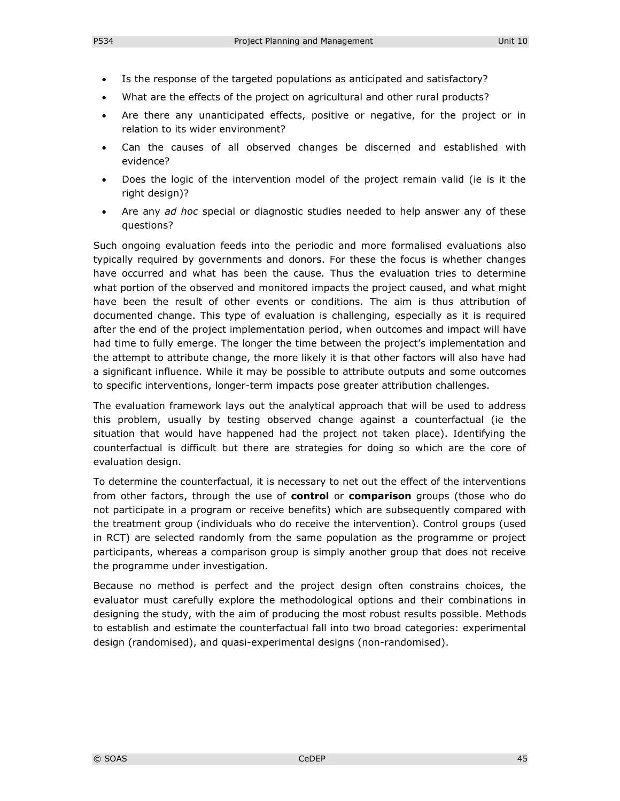- Is the response of the targeted populations as anticipated and satisfactory?
- What are the effects of the project on agricultural and other rural products?
- Are there any unanticipated effects, positive or negative, for the project or in relation to its wider environment?
- Can the causes of all observed changes be discerned and established with evidence?
- Does the logic of the intervention model of the project remain valid (ie is it the right design)?
- Are any *ad hoc* special or diagnostic studies needed to help answer any of these questions?

Such ongoing evaluation feeds into the periodic and more formalised evaluations also typically required by governments and donors. For these the focus is whether changes have occurred and what has been the cause. Thus the evaluation tries to determine what portion of the observed and monitored impacts the project caused, and what might have been the result of other events or conditions. The aim is thus attribution of documented change. This type of evaluation is challenging, especially as it is required after the end of the project implementation period, when outcomes and impact will have had time to fully emerge. The longer the time between the project's implementation and the attempt to attribute change, the more likely it is that other factors will also have had a significant influence. While it may be possible to attribute outputs and some outcomes to specific interventions, longer-term impacts pose greater attribution challenges.

The evaluation framework lays out the analytical approach that will be used to address this problem, usually by testing observed change against a counterfactual (ie the situation that would have happened had the project not taken place). Identifying the counterfactual is difficult but there are strategies for doing so which are the core of evaluation design.

To determine the counterfactual, it is necessary to net out the effect of the interventions from other factors, through the use of **control** or **comparison** groups (those who do not participate in a program or receive benefits) which are subsequently compared with the treatment group (individuals who do receive the intervention). Control groups (used in RCT) are selected randomly from the same population as the programme or project participants, whereas a comparison group is simply another group that does not receive the programme under investigation.

Because no method is perfect and the project design often constrains choices, the evaluator must carefully explore the methodological options and their combinations in designing the study, with the aim of producing the most robust results possible. Methods to establish and estimate the counterfactual fall into two broad categories: experimental design (randomised), and quasi-experimental designs (non-randomised).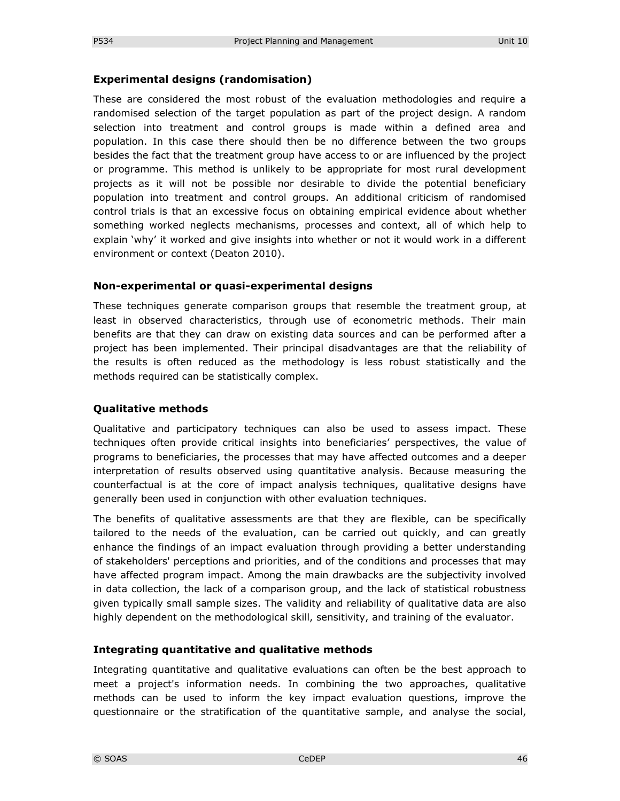#### **Experimental designs (randomisation)**

These are considered the most robust of the evaluation methodologies and require a randomised selection of the target population as part of the project design. A random selection into treatment and control groups is made within a defined area and population. In this case there should then be no difference between the two groups besides the fact that the treatment group have access to or are influenced by the project or programme. This method is unlikely to be appropriate for most rural development projects as it will not be possible nor desirable to divide the potential beneficiary population into treatment and control groups. An additional criticism of randomised control trials is that an excessive focus on obtaining empirical evidence about whether something worked neglects mechanisms, processes and context, all of which help to explain 'why' it worked and give insights into whether or not it would work in a different environment or context (Deaton 2010).

#### **Non-experimental or quasi-experimental designs**

These techniques generate comparison groups that resemble the treatment group, at least in observed characteristics, through use of econometric methods. Their main benefits are that they can draw on existing data sources and can be performed after a project has been implemented. Their principal disadvantages are that the reliability of the results is often reduced as the methodology is less robust statistically and the methods required can be statistically complex.

#### **Qualitative methods**

Qualitative and participatory techniques can also be used to assess impact. These techniques often provide critical insights into beneficiaries' perspectives, the value of programs to beneficiaries, the processes that may have affected outcomes and a deeper interpretation of results observed using quantitative analysis. Because measuring the counterfactual is at the core of impact analysis techniques, qualitative designs have generally been used in conjunction with other evaluation techniques.

The benefits of qualitative assessments are that they are flexible, can be specifically tailored to the needs of the evaluation, can be carried out quickly, and can greatly enhance the findings of an impact evaluation through providing a better understanding of stakeholders' perceptions and priorities, and of the conditions and processes that may have affected program impact. Among the main drawbacks are the subjectivity involved in data collection, the lack of a comparison group, and the lack of statistical robustness given typically small sample sizes. The validity and reliability of qualitative data are also highly dependent on the methodological skill, sensitivity, and training of the evaluator.

#### **Integrating quantitative and qualitative methods**

Integrating quantitative and qualitative evaluations can often be the best approach to meet a project's information needs. In combining the two approaches, qualitative methods can be used to inform the key impact evaluation questions, improve the questionnaire or the stratification of the quantitative sample, and analyse the social,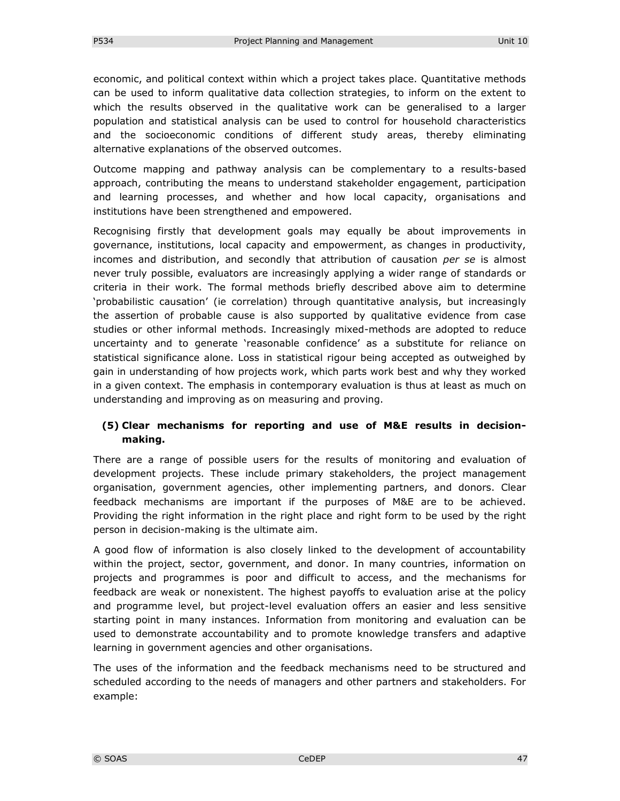economic, and political context within which a project takes place. Quantitative methods can be used to inform qualitative data collection strategies, to inform on the extent to which the results observed in the qualitative work can be generalised to a larger population and statistical analysis can be used to control for household characteristics and the socioeconomic conditions of different study areas, thereby eliminating alternative explanations of the observed outcomes.

Outcome mapping and pathway analysis can be complementary to a results-based approach, contributing the means to understand stakeholder engagement, participation and learning processes, and whether and how local capacity, organisations and institutions have been strengthened and empowered.

Recognising firstly that development goals may equally be about improvements in governance, institutions, local capacity and empowerment, as changes in productivity, incomes and distribution, and secondly that attribution of causation *per se* is almost never truly possible, evaluators are increasingly applying a wider range of standards or criteria in their work. The formal methods briefly described above aim to determine 'probabilistic causation' (ie correlation) through quantitative analysis, but increasingly the assertion of probable cause is also supported by qualitative evidence from case studies or other informal methods. Increasingly mixed-methods are adopted to reduce uncertainty and to generate 'reasonable confidence' as a substitute for reliance on statistical significance alone. Loss in statistical rigour being accepted as outweighed by gain in understanding of how projects work, which parts work best and why they worked in a given context. The emphasis in contemporary evaluation is thus at least as much on understanding and improving as on measuring and proving.

#### **(5) Clear mechanisms for reporting and use of M&E results in decisionmaking.**

There are a range of possible users for the results of monitoring and evaluation of development projects. These include primary stakeholders, the project management organisation, government agencies, other implementing partners, and donors. Clear feedback mechanisms are important if the purposes of M&E are to be achieved. Providing the right information in the right place and right form to be used by the right person in decision-making is the ultimate aim.

A good flow of information is also closely linked to the development of accountability within the project, sector, government, and donor. In many countries, information on projects and programmes is poor and difficult to access, and the mechanisms for feedback are weak or nonexistent. The highest payoffs to evaluation arise at the policy and programme level, but project-level evaluation offers an easier and less sensitive starting point in many instances. Information from monitoring and evaluation can be used to demonstrate accountability and to promote knowledge transfers and adaptive learning in government agencies and other organisations.

The uses of the information and the feedback mechanisms need to be structured and scheduled according to the needs of managers and other partners and stakeholders. For example: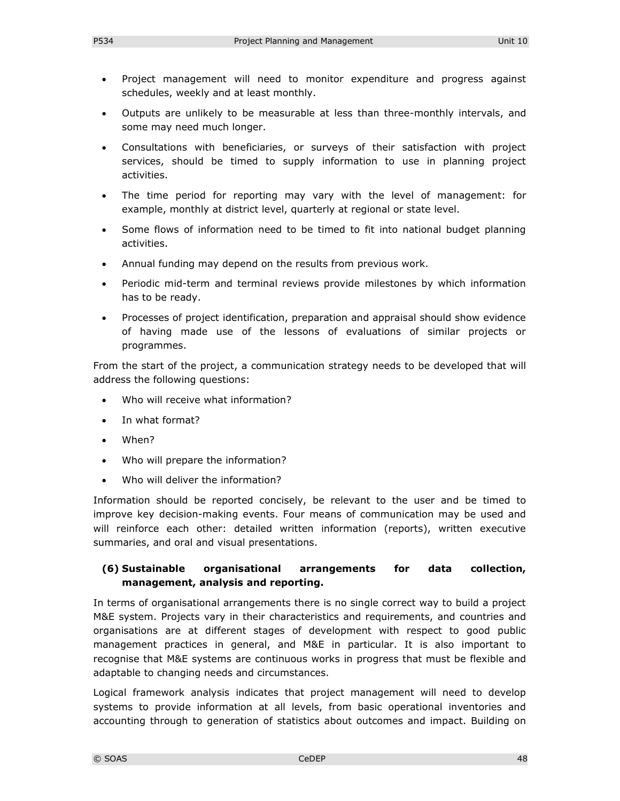- Project management will need to monitor expenditure and progress against schedules, weekly and at least monthly.
- Outputs are unlikely to be measurable at less than three-monthly intervals, and some may need much longer.
- Consultations with beneficiaries, or surveys of their satisfaction with project services, should be timed to supply information to use in planning project activities.
- The time period for reporting may vary with the level of management: for example, monthly at district level, quarterly at regional or state level.
- Some flows of information need to be timed to fit into national budget planning activities.
- Annual funding may depend on the results from previous work.
- Periodic mid-term and terminal reviews provide milestones by which information has to be ready.
- Processes of project identification, preparation and appraisal should show evidence of having made use of the lessons of evaluations of similar projects or programmes.

From the start of the project, a communication strategy needs to be developed that will address the following questions:

- Who will receive what information?
- In what format?
- When?
- Who will prepare the information?
- Who will deliver the information?

Information should be reported concisely, be relevant to the user and be timed to improve key decision-making events. Four means of communication may be used and will reinforce each other: detailed written information (reports), written executive summaries, and oral and visual presentations.

#### **(6) Sustainable organisational arrangements for data collection, management, analysis and reporting.**

In terms of organisational arrangements there is no single correct way to build a project M&E system. Projects vary in their characteristics and requirements, and countries and organisations are at different stages of development with respect to good public management practices in general, and M&E in particular. It is also important to recognise that M&E systems are continuous works in progress that must be flexible and adaptable to changing needs and circumstances.

Logical framework analysis indicates that project management will need to develop systems to provide information at all levels, from basic operational inventories and accounting through to generation of statistics about outcomes and impact. Building on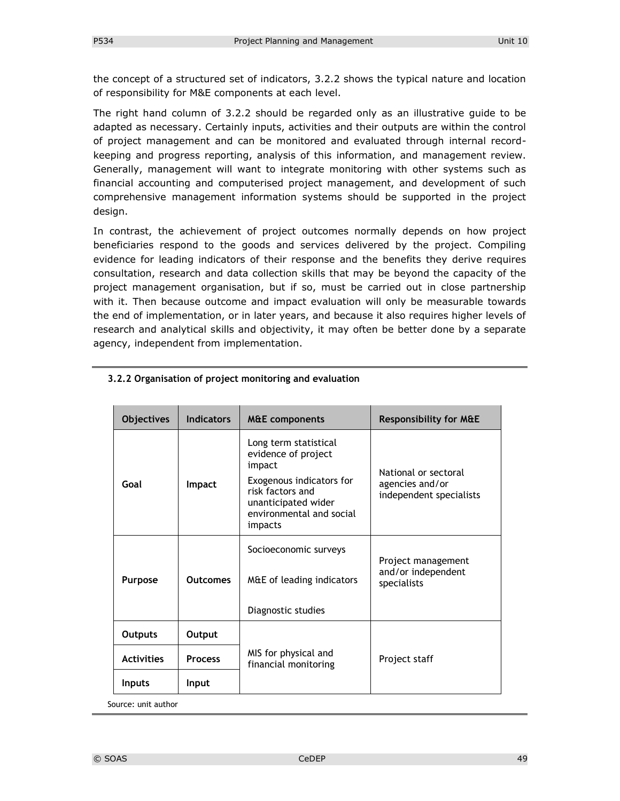the concept of a structured set of indicators, 3.2.2 shows the typical nature and location of responsibility for M&E components at each level.

The right hand column of 3.2.2 should be regarded only as an illustrative guide to be adapted as necessary. Certainly inputs, activities and their outputs are within the control of project management and can be monitored and evaluated through internal recordkeeping and progress reporting, analysis of this information, and management review. Generally, management will want to integrate monitoring with other systems such as financial accounting and computerised project management, and development of such comprehensive management information systems should be supported in the project design.

In contrast, the achievement of project outcomes normally depends on how project beneficiaries respond to the goods and services delivered by the project. Compiling evidence for leading indicators of their response and the benefits they derive requires consultation, research and data collection skills that may be beyond the capacity of the project management organisation, but if so, must be carried out in close partnership with it. Then because outcome and impact evaluation will only be measurable towards the end of implementation, or in later years, and because it also requires higher levels of research and analytical skills and objectivity, it may often be better done by a separate agency, independent from implementation.

| <b>Objectives</b> | <b>Indicators</b> | <b>M&amp;E</b> components                                                                                                                                            | <b>Responsibility for M&amp;E</b>                                  |
|-------------------|-------------------|----------------------------------------------------------------------------------------------------------------------------------------------------------------------|--------------------------------------------------------------------|
| Goal              | Impact            | Long term statistical<br>evidence of project<br>impact<br>Exogenous indicators for<br>risk factors and<br>unanticipated wider<br>environmental and social<br>impacts | National or sectoral<br>agencies and/or<br>independent specialists |
| Purpose           | <b>Outcomes</b>   | Socioeconomic surveys<br>M&E of leading indicators<br>Diagnostic studies                                                                                             | Project management<br>and/or independent<br>specialists            |
| <b>Outputs</b>    | Output            |                                                                                                                                                                      |                                                                    |
| <b>Activities</b> | <b>Process</b>    | MIS for physical and<br>financial monitoring                                                                                                                         | Project staff                                                      |
| <b>Inputs</b>     | Input             |                                                                                                                                                                      |                                                                    |

#### **3.2.2 Organisation of project monitoring and evaluation**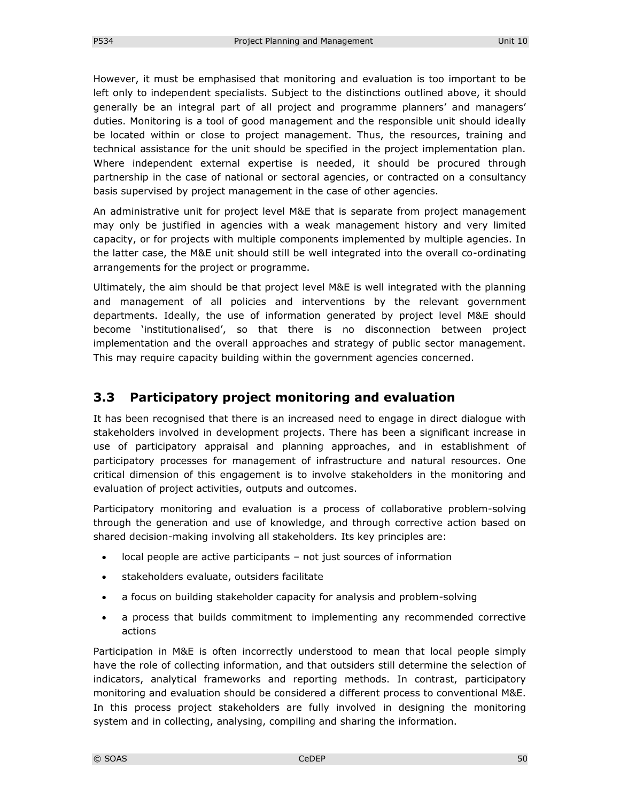However, it must be emphasised that monitoring and evaluation is too important to be left only to independent specialists. Subject to the distinctions outlined above, it should generally be an integral part of all project and programme planners' and managers' duties. Monitoring is a tool of good management and the responsible unit should ideally be located within or close to project management. Thus, the resources, training and technical assistance for the unit should be specified in the project implementation plan. Where independent external expertise is needed, it should be procured through partnership in the case of national or sectoral agencies, or contracted on a consultancy basis supervised by project management in the case of other agencies.

An administrative unit for project level M&E that is separate from project management may only be justified in agencies with a weak management history and very limited capacity, or for projects with multiple components implemented by multiple agencies. In the latter case, the M&E unit should still be well integrated into the overall co-ordinating arrangements for the project or programme.

Ultimately, the aim should be that project level M&E is well integrated with the planning and management of all policies and interventions by the relevant government departments. Ideally, the use of information generated by project level M&E should become 'institutionalised', so that there is no disconnection between project implementation and the overall approaches and strategy of public sector management. This may require capacity building within the government agencies concerned.

### **3.3 Participatory project monitoring and evaluation**

It has been recognised that there is an increased need to engage in direct dialogue with stakeholders involved in development projects. There has been a significant increase in use of participatory appraisal and planning approaches, and in establishment of participatory processes for management of infrastructure and natural resources. One critical dimension of this engagement is to involve stakeholders in the monitoring and evaluation of project activities, outputs and outcomes.

Participatory monitoring and evaluation is a process of collaborative problem-solving through the generation and use of knowledge, and through corrective action based on shared decision-making involving all stakeholders. Its key principles are:

- local people are active participants not just sources of information
- stakeholders evaluate, outsiders facilitate
- a focus on building stakeholder capacity for analysis and problem-solving
- a process that builds commitment to implementing any recommended corrective actions

Participation in M&E is often incorrectly understood to mean that local people simply have the role of collecting information, and that outsiders still determine the selection of indicators, analytical frameworks and reporting methods. In contrast, participatory monitoring and evaluation should be considered a different process to conventional M&E. In this process project stakeholders are fully involved in designing the monitoring system and in collecting, analysing, compiling and sharing the information.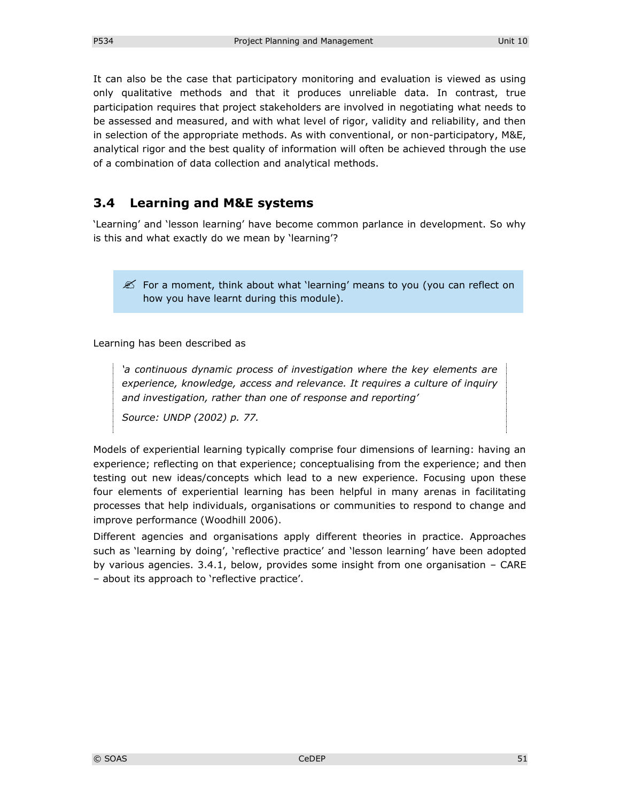It can also be the case that participatory monitoring and evaluation is viewed as using only qualitative methods and that it produces unreliable data. In contrast, true participation requires that project stakeholders are involved in negotiating what needs to be assessed and measured, and with what level of rigor, validity and reliability, and then in selection of the appropriate methods. As with conventional, or non-participatory, M&E, analytical rigor and the best quality of information will often be achieved through the use of a combination of data collection and analytical methods.

## **3.4 Learning and M&E systems**

'Learning' and 'lesson learning' have become common parlance in development. So why is this and what exactly do we mean by 'learning'?

 $\mathscr{L}$  For a moment, think about what 'learning' means to you (you can reflect on how you have learnt during this module).

Learning has been described as

*'a continuous dynamic process of investigation where the key elements are experience, knowledge, access and relevance. It requires a culture of inquiry and investigation, rather than one of response and reporting'* 

*Source: UNDP (2002) p. 77.*

Models of experiential learning typically comprise four dimensions of learning: having an experience; reflecting on that experience; conceptualising from the experience; and then testing out new ideas/concepts which lead to a new experience. Focusing upon these four elements of experiential learning has been helpful in many arenas in facilitating processes that help individuals, organisations or communities to respond to change and improve performance (Woodhill 2006).

Different agencies and organisations apply different theories in practice. Approaches such as 'learning by doing', 'reflective practice' and 'lesson learning' have been adopted by various agencies. 3.4.1, below, provides some insight from one organisation – CARE – about its approach to 'reflective practice'.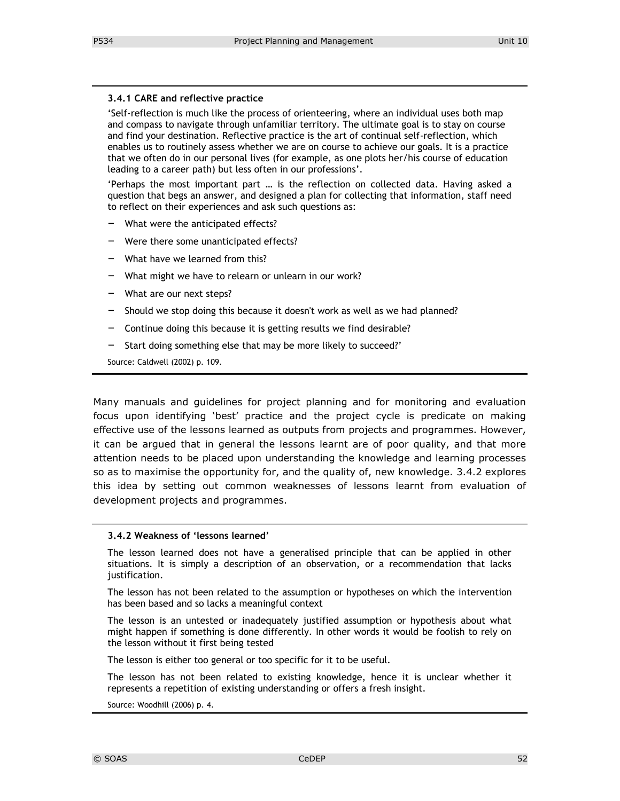#### **3.4.1 CARE and reflective practice**

'Self-reflection is much like the process of orienteering, where an individual uses both map and compass to navigate through unfamiliar territory. The ultimate goal is to stay on course and find your destination. Reflective practice is the art of continual self-reflection, which enables us to routinely assess whether we are on course to achieve our goals. It is a practice that we often do in our personal lives (for example, as one plots her/his course of education leading to a career path) but less often in our professions'.

'Perhaps the most important part … is the reflection on collected data. Having asked a question that begs an answer, and designed a plan for collecting that information, staff need to reflect on their experiences and ask such questions as:

- What were the anticipated effects?
- Were there some unanticipated effects?
- What have we learned from this?
- What might we have to relearn or unlearn in our work?
- What are our next steps?
- Should we stop doing this because it doesn't work as well as we had planned?
- Continue doing this because it is getting results we find desirable?
- Start doing something else that may be more likely to succeed?'

Source: Caldwell (2002) p. 109.

Many manuals and guidelines for project planning and for monitoring and evaluation focus upon identifying 'best' practice and the project cycle is predicate on making effective use of the lessons learned as outputs from projects and programmes. However, it can be argued that in general the lessons learnt are of poor quality, and that more attention needs to be placed upon understanding the knowledge and learning processes so as to maximise the opportunity for, and the quality of, new knowledge. 3.4.2 explores this idea by setting out common weaknesses of lessons learnt from evaluation of development projects and programmes.

#### **3.4.2 Weakness of 'lessons learned'**

The lesson learned does not have a generalised principle that can be applied in other situations. It is simply a description of an observation, or a recommendation that lacks justification.

The lesson has not been related to the assumption or hypotheses on which the intervention has been based and so lacks a meaningful context

The lesson is an untested or inadequately justified assumption or hypothesis about what might happen if something is done differently. In other words it would be foolish to rely on the lesson without it first being tested

The lesson is either too general or too specific for it to be useful.

The lesson has not been related to existing knowledge, hence it is unclear whether it represents a repetition of existing understanding or offers a fresh insight.

Source: Woodhill (2006) p. 4.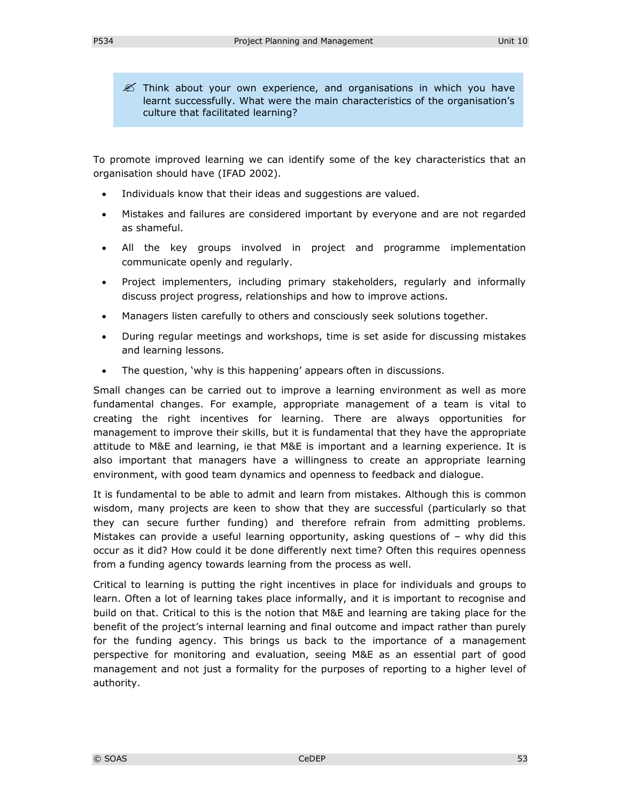$\mathscr{\mathscr{L}}$  Think about your own experience, and organisations in which you have learnt successfully. What were the main characteristics of the organisation's culture that facilitated learning?

To promote improved learning we can identify some of the key characteristics that an organisation should have (IFAD 2002).

- Individuals know that their ideas and suggestions are valued.
- Mistakes and failures are considered important by everyone and are not regarded as shameful.
- All the key groups involved in project and programme implementation communicate openly and regularly.
- Project implementers, including primary stakeholders, regularly and informally discuss project progress, relationships and how to improve actions.
- Managers listen carefully to others and consciously seek solutions together.
- During regular meetings and workshops, time is set aside for discussing mistakes and learning lessons.
- The question, 'why is this happening' appears often in discussions.

Small changes can be carried out to improve a learning environment as well as more fundamental changes. For example, appropriate management of a team is vital to creating the right incentives for learning. There are always opportunities for management to improve their skills, but it is fundamental that they have the appropriate attitude to M&E and learning, ie that M&E is important and a learning experience. It is also important that managers have a willingness to create an appropriate learning environment, with good team dynamics and openness to feedback and dialogue.

It is fundamental to be able to admit and learn from mistakes. Although this is common wisdom, many projects are keen to show that they are successful (particularly so that they can secure further funding) and therefore refrain from admitting problems. Mistakes can provide a useful learning opportunity, asking questions of – why did this occur as it did? How could it be done differently next time? Often this requires openness from a funding agency towards learning from the process as well.

Critical to learning is putting the right incentives in place for individuals and groups to learn. Often a lot of learning takes place informally, and it is important to recognise and build on that. Critical to this is the notion that M&E and learning are taking place for the benefit of the project's internal learning and final outcome and impact rather than purely for the funding agency. This brings us back to the importance of a management perspective for monitoring and evaluation, seeing M&E as an essential part of good management and not just a formality for the purposes of reporting to a higher level of authority.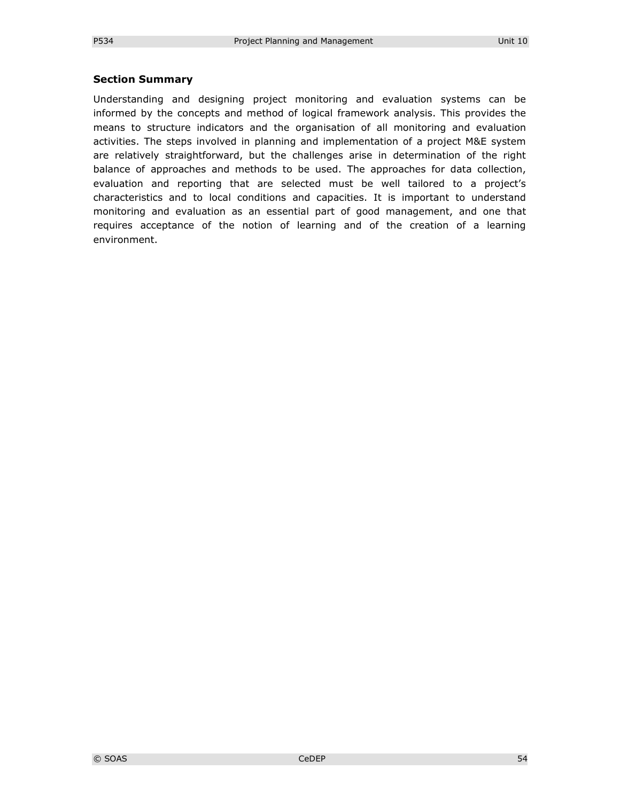#### **Section Summary**

Understanding and designing project monitoring and evaluation systems can be informed by the concepts and method of logical framework analysis. This provides the means to structure indicators and the organisation of all monitoring and evaluation activities. The steps involved in planning and implementation of a project M&E system are relatively straightforward, but the challenges arise in determination of the right balance of approaches and methods to be used. The approaches for data collection, evaluation and reporting that are selected must be well tailored to a project's characteristics and to local conditions and capacities. It is important to understand monitoring and evaluation as an essential part of good management, and one that requires acceptance of the notion of learning and of the creation of a learning environment.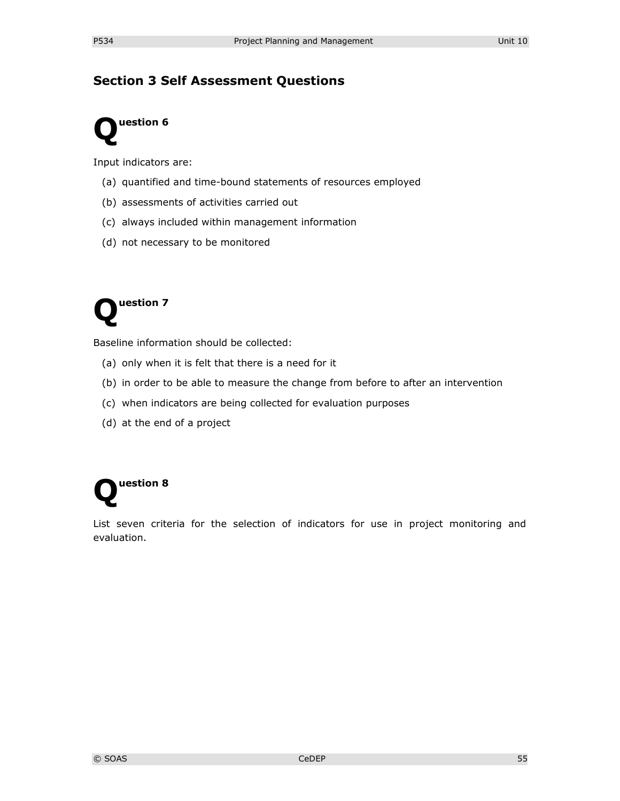# **Section 3 Self Assessment Questions**



Input indicators are:

- (a) quantified and time-bound statements of resources employed
- (b) assessments of activities carried out
- (c) always included within management information
- (d) not necessary to be monitored



Baseline information should be collected:

- (a) only when it is felt that there is a need for it
- (b) in order to be able to measure the change from before to after an intervention
- (c) when indicators are being collected for evaluation purposes
- (d) at the end of a project

# **uestion 8 Q**

List seven criteria for the selection of indicators for use in project monitoring and evaluation.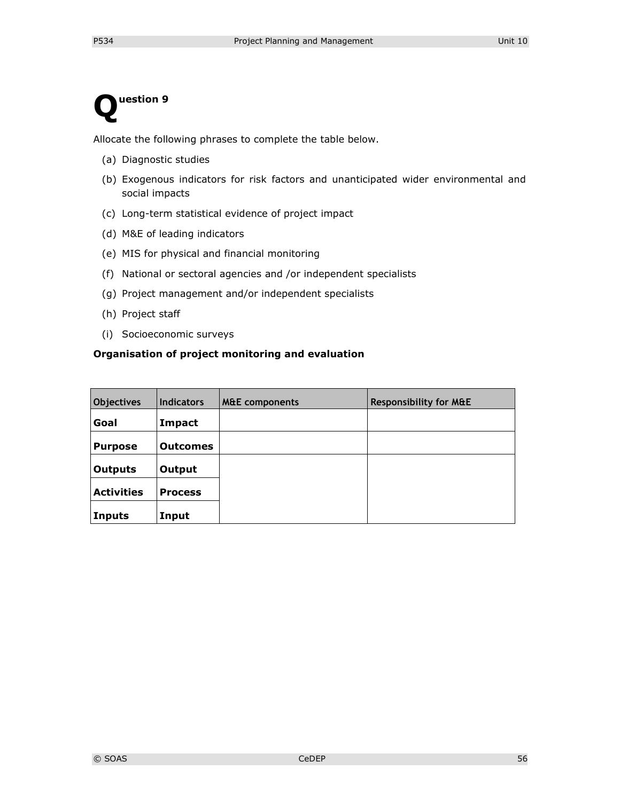# **uestion 9 Q**

Allocate the following phrases to complete the table below.

- (a) Diagnostic studies
- (b) Exogenous indicators for risk factors and unanticipated wider environmental and social impacts
- (c) Long-term statistical evidence of project impact
- (d) M&E of leading indicators
- (e) MIS for physical and financial monitoring
- (f) National or sectoral agencies and /or independent specialists
- (g) Project management and/or independent specialists
- (h) Project staff
- (i) Socioeconomic surveys

#### **Organisation of project monitoring and evaluation**

| Objectives        | <b>Indicators</b> | <b>M&amp;E</b> components | <b>Responsibility for M&amp;E</b> |
|-------------------|-------------------|---------------------------|-----------------------------------|
| Goal              | Impact            |                           |                                   |
| <b>Purpose</b>    | <b>Outcomes</b>   |                           |                                   |
| <b>Outputs</b>    | Output            |                           |                                   |
| <b>Activities</b> | <b>Process</b>    |                           |                                   |
| Inputs            | Input             |                           |                                   |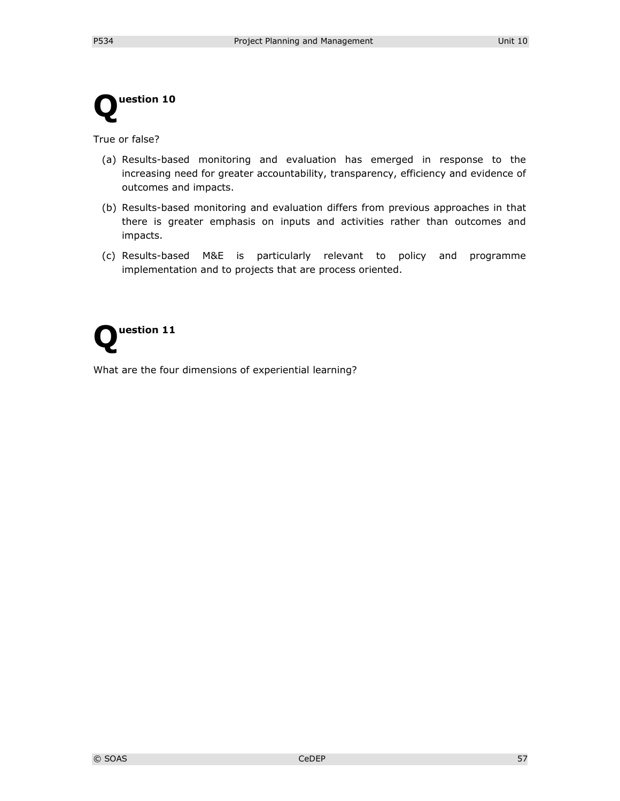

True or false?

- (a) Results-based monitoring and evaluation has emerged in response to the increasing need for greater accountability, transparency, efficiency and evidence of outcomes and impacts.
- (b) Results-based monitoring and evaluation differs from previous approaches in that there is greater emphasis on inputs and activities rather than outcomes and impacts.
- (c) Results-based M&E is particularly relevant to policy and programme implementation and to projects that are process oriented.



What are the four dimensions of experiential learning?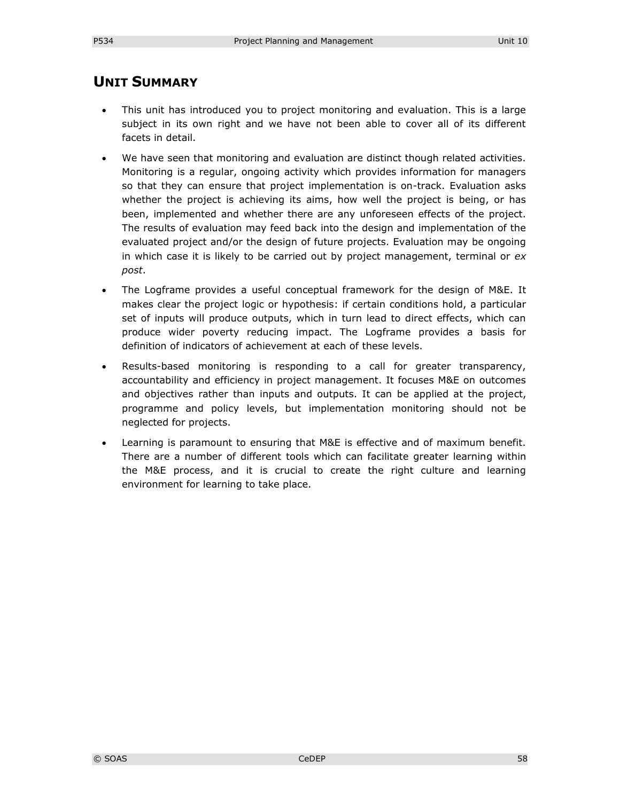# **UNIT SUMMARY**

- This unit has introduced you to project monitoring and evaluation. This is a large subject in its own right and we have not been able to cover all of its different facets in detail.
- We have seen that monitoring and evaluation are distinct though related activities. Monitoring is a regular, ongoing activity which provides information for managers so that they can ensure that project implementation is on-track. Evaluation asks whether the project is achieving its aims, how well the project is being, or has been, implemented and whether there are any unforeseen effects of the project. The results of evaluation may feed back into the design and implementation of the evaluated project and/or the design of future projects. Evaluation may be ongoing in which case it is likely to be carried out by project management, terminal or *ex post*.
- The Logframe provides a useful conceptual framework for the design of M&E. It makes clear the project logic or hypothesis: if certain conditions hold, a particular set of inputs will produce outputs, which in turn lead to direct effects, which can produce wider poverty reducing impact. The Logframe provides a basis for definition of indicators of achievement at each of these levels.
- Results-based monitoring is responding to a call for greater transparency, accountability and efficiency in project management. It focuses M&E on outcomes and objectives rather than inputs and outputs. It can be applied at the project, programme and policy levels, but implementation monitoring should not be neglected for projects.
- Learning is paramount to ensuring that M&E is effective and of maximum benefit. There are a number of different tools which can facilitate greater learning within the M&E process, and it is crucial to create the right culture and learning environment for learning to take place.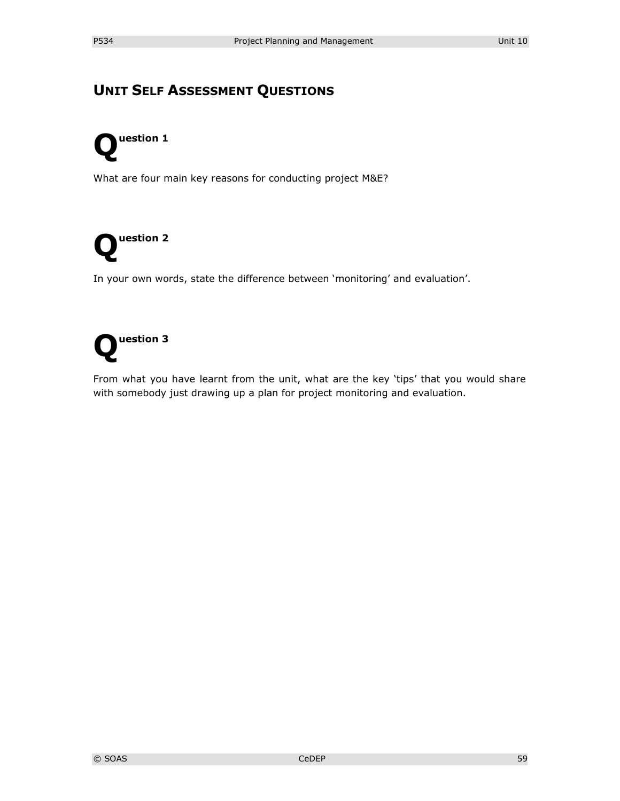# **UNIT SELF ASSESSMENT QUESTIONS**

# **uestion 1 Q**

What are four main key reasons for conducting project M&E?



In your own words, state the difference between 'monitoring' and evaluation'.

# **uestion 3 Q**

From what you have learnt from the unit, what are the key 'tips' that you would share with somebody just drawing up a plan for project monitoring and evaluation.